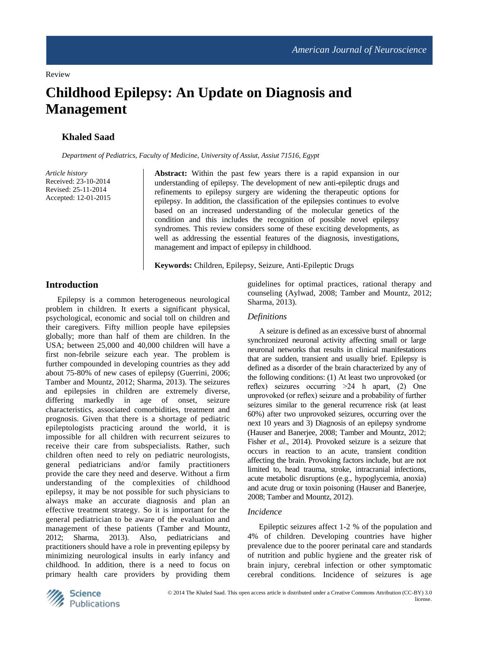# **Childhood Epilepsy: An Update on Diagnosis and Management**

# **Khaled Saad**

*Department of Pediatrics, Faculty of Medicine, University of Assiut, Assiut 71516, Egypt*

*Article history* Received: 23-10-2014 Revised: 25-11-2014 Accepted: 12-01-2015 **Abstract:** Within the past few years there is a rapid expansion in our understanding of epilepsy. The development of new anti-epileptic drugs and refinements to epilepsy surgery are widening the therapeutic options for epilepsy. In addition, the classification of the epilepsies continues to evolve based on an increased understanding of the molecular genetics of the condition and this includes the recognition of possible novel epilepsy syndromes. This review considers some of these exciting developments, as well as addressing the essential features of the diagnosis, investigations, management and impact of epilepsy in childhood.

**Keywords:** Children, Epilepsy, Seizure, Anti-Epileptic Drugs

### **Introduction**

Epilepsy is a common heterogeneous neurological problem in children. It exerts a significant physical, psychological, economic and social toll on children and their caregivers. Fifty million people have epilepsies globally; more than half of them are children. In the USA; between 25,000 and 40,000 children will have a first non-febrile seizure each year. The problem is further compounded in developing countries as they add about 75-80% of new cases of epilepsy (Guerrini, 2006; Tamber and Mountz, 2012; Sharma, 2013). The seizures and epilepsies in children are extremely diverse, differing markedly in age of onset, seizure characteristics, associated comorbidities, treatment and prognosis. Given that there is a shortage of pediatric epileptologists practicing around the world, it is impossible for all children with recurrent seizures to receive their care from subspecialists. Rather, such children often need to rely on pediatric neurologists, general pediatricians and/or family practitioners provide the care they need and deserve. Without a firm understanding of the complexities of childhood epilepsy, it may be not possible for such physicians to always make an accurate diagnosis and plan an effective treatment strategy. So it is important for the general pediatrician to be aware of the evaluation and management of these patients (Tamber and Mountz, 2012; Sharma, 2013). Also, pediatricians and practitioners should have a role in preventing epilepsy by minimizing neurological insults in early infancy and childhood. In addition, there is a need to focus on primary health care providers by providing them

guidelines for optimal practices, rational therapy and counseling (Aylwad, 2008; Tamber and Mountz, 2012; Sharma, 2013).

### *Definitions*

A seizure is defined as an excessive burst of abnormal synchronized neuronal activity affecting small or large neuronal networks that results in clinical manifestations that are sudden, transient and usually brief. Epilepsy is defined as a disorder of the brain characterized by any of the following conditions: (1) At least two unprovoked (or reflex) seizures occurring >24 h apart, (2) One unprovoked (or reflex) seizure and a probability of further seizures similar to the general recurrence risk (at least 60%) after two unprovoked seizures, occurring over the next 10 years and 3) Diagnosis of an epilepsy syndrome (Hauser and Banerjee, 2008; Tamber and Mountz, 2012; Fisher *et al*., 2014). Provoked seizure is a seizure that occurs in reaction to an acute, transient condition affecting the brain. Provoking factors include, but are not limited to, head trauma, stroke, intracranial infections, acute metabolic disruptions (e.g., hypoglycemia, anoxia) and acute drug or toxin poisoning (Hauser and Banerjee, 2008; Tamber and Mountz, 2012).

#### *Incidence*

Epileptic seizures affect 1-2 % of the population and 4% of children. Developing countries have higher prevalence due to the poorer perinatal care and standards of nutrition and public hygiene and the greater risk of brain injury, cerebral infection or other symptomatic cerebral conditions. Incidence of seizures is age

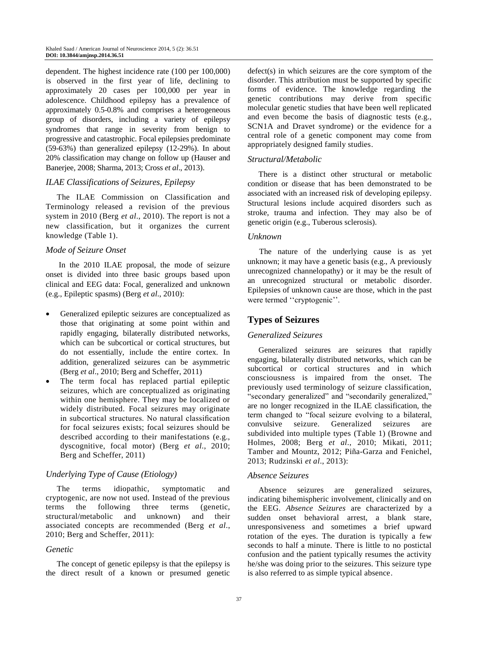dependent. The highest incidence rate (100 per 100,000) is observed in the first year of life, declining to approximately 20 cases per 100,000 per year in adolescence. Childhood epilepsy has a prevalence of approximately 0.5-0.8% and comprises a heterogeneous group of disorders, including a variety of epilepsy syndromes that range in severity from benign to progressive and catastrophic. Focal epilepsies predominate (59-63%) than generalized epilepsy (12-29%). In about 20% classification may change on follow up (Hauser and Banerjee, 2008; Sharma, 2013; Cross *et al*., 2013).

### *ILAE Classifications of Seizures, Epilepsy*

The ILAE Commission on Classification and Terminology released a revision of the previous system in 2010 (Berg *et al*., 2010). The report is not a new classification, but it organizes the current knowledge (Table 1).

### *Mode of Seizure Onset*

In the 2010 ILAE proposal, the mode of seizure onset is divided into three basic groups based upon clinical and EEG data: Focal, generalized and unknown (e.g., Epileptic spasms) (Berg *et al*., 2010):

- Generalized epileptic seizures are conceptualized as those that originating at some point within and rapidly engaging, bilaterally distributed networks, which can be subcortical or cortical structures, but do not essentially, include the entire cortex. In addition, generalized seizures can be asymmetric (Berg *et al*., 2010; Berg and Scheffer, 2011)
- The term focal has replaced partial epileptic seizures, which are conceptualized as originating within one hemisphere. They may be localized or widely distributed. Focal seizures may originate in subcortical structures. No natural classification for focal seizures exists; focal seizures should be described according to their manifestations (e.g., dyscognitive, focal motor) (Berg *et al*., 2010; Berg and Scheffer, 2011)

### *Underlying Type of Cause (Etiology)*

The terms idiopathic, symptomatic and cryptogenic, are now not used. Instead of the previous terms the following three terms (genetic, structural/metabolic and unknown) and their associated concepts are recommended (Berg *et al*., 2010; Berg and Scheffer, 2011):

### *Genetic*

The concept of genetic epilepsy is that the epilepsy is the direct result of a known or presumed genetic defect(s) in which seizures are the core symptom of the disorder. This attribution must be supported by specific forms of evidence. The knowledge regarding the genetic contributions may derive from specific molecular genetic studies that have been well replicated and even become the basis of diagnostic tests (e.g., SCN1A and Dravet syndrome) or the evidence for a central role of a genetic component may come from appropriately designed family studies.

### *Structural/Metabolic*

There is a distinct other structural or metabolic condition or disease that has been demonstrated to be associated with an increased risk of developing epilepsy. Structural lesions include acquired disorders such as stroke, trauma and infection. They may also be of genetic origin (e.g., Tuberous sclerosis).

### *Unknown*

The nature of the underlying cause is as yet unknown; it may have a genetic basis (e.g., A previously unrecognized channelopathy) or it may be the result of an unrecognized structural or metabolic disorder. Epilepsies of unknown cause are those, which in the past were termed ''cryptogenic''.

## **Types of Seizures**

### *Generalized Seizures*

Generalized seizures are seizures that rapidly engaging, bilaterally distributed networks, which can be subcortical or cortical structures and in which consciousness is impaired from the onset. The previously used terminology of seizure classification, "secondary generalized" and "secondarily generalized," are no longer recognized in the ILAE classification, the term changed to "focal seizure evolving to a bilateral, convulsive seizure. Generalized seizures are subdivided into multiple types (Table 1) (Browne and Holmes, 2008; Berg *et al*., 2010; Mikati, 2011; Tamber and Mountz, 2012; Piña-Garza and Fenichel, 2013; Rudzinski *et al*., 2013):

### *Absence Seizures*

Absence seizures are generalized seizures, indicating bihemispheric involvement, clinically and on the EEG. *Absence Seizures* are characterized by a sudden onset behavioral arrest, a blank stare, unresponsiveness and sometimes a brief upward rotation of the eyes. The duration is typically a few seconds to half a minute. There is little to no postictal confusion and the patient typically resumes the activity he/she was doing prior to the seizures. This seizure type is also referred to as simple typical absence.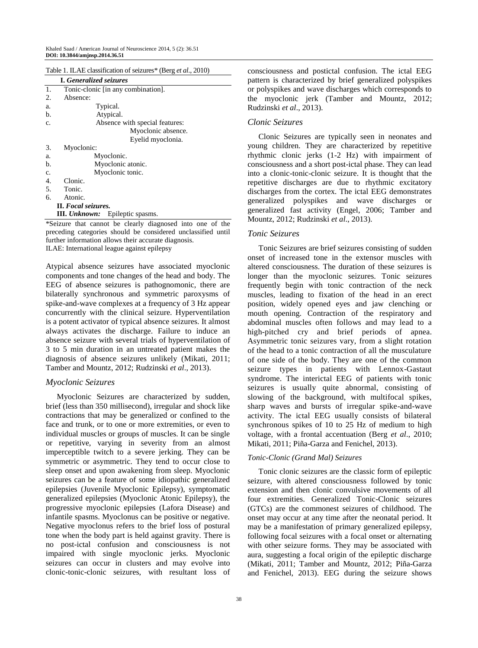| Table 1. ILAE classification of seizures* (Berg et al., 2010) |  |  |  |  |
|---------------------------------------------------------------|--|--|--|--|
|---------------------------------------------------------------|--|--|--|--|

|                                        | I. Generalized seizures            |  |  |
|----------------------------------------|------------------------------------|--|--|
| 1.                                     | Tonic-clonic [in any combination]. |  |  |
| 2.                                     | Absence:                           |  |  |
| a.                                     | Typical.                           |  |  |
| b.                                     | Atypical.                          |  |  |
| c.                                     | Absence with special features:     |  |  |
|                                        | Myoclonic absence.                 |  |  |
|                                        | Eyelid myoclonia.                  |  |  |
| 3.                                     | Myoclonic:                         |  |  |
| a.                                     | Myoclonic.                         |  |  |
| b.                                     | Myoclonic atonic.                  |  |  |
| $\mathbf{C}$ .                         | Myoclonic tonic.                   |  |  |
| 4.                                     | Clonic.                            |  |  |
| 5.                                     | Tonic.                             |  |  |
| 6.                                     | Atonic.                            |  |  |
| <b>II.</b> Focal seizures.             |                                    |  |  |
| <b>III.</b> Unknown: Epileptic spasms. |                                    |  |  |
| $\cdot$ $\sim$ $\sim$                  | $1 + 1$                            |  |  |

\*Seizure that cannot be clearly diagnosed into one of the preceding categories should be considered unclassified until further information allows their accurate diagnosis. ILAE: International league against epilepsy

Atypical absence seizures have associated myoclonic components and tone changes of the head and body. The EEG of absence seizures is pathognomonic, there are bilaterally synchronous and symmetric paroxysms of spike-and-wave complexes at a frequency of 3 Hz appear concurrently with the clinical seizure. Hyperventilation is a potent activator of typical absence seizures. It almost always activates the discharge. Failure to induce an absence seizure with several trials of hyperventilation of 3 to 5 min duration in an untreated patient makes the diagnosis of absence seizures unlikely (Mikati, 2011; Tamber and Mountz, 2012; Rudzinski *et al*., 2013).

#### *Myoclonic Seizures*

Myoclonic Seizures are characterized by sudden, brief (less than 350 millisecond), irregular and shock like contractions that may be generalized or confined to the face and trunk, or to one or more extremities, or even to individual muscles or groups of muscles. It can be single or repetitive, varying in severity from an almost imperceptible twitch to a severe jerking. They can be symmetric or asymmetric. They tend to occur close to sleep onset and upon awakening from sleep. Myoclonic seizures can be a feature of some idiopathic generalized epilepsies (Juvenile Myoclonic Epilepsy), symptomatic generalized epilepsies (Myoclonic Atonic Epilepsy), the progressive myoclonic epilepsies (Lafora Disease) and infantile spasms. Myoclonus can be positive or negative. Negative myoclonus refers to the brief loss of postural tone when the body part is held against gravity. There is no post-ictal confusion and consciousness is not impaired with single myoclonic jerks. Myoclonic seizures can occur in clusters and may evolve into clonic-tonic-clonic seizures, with resultant loss of

consciousness and postictal confusion. The ictal EEG pattern is characterized by brief generalized polyspikes or polyspikes and wave discharges which corresponds to the myoclonic jerk (Tamber and Mountz, 2012; Rudzinski *et al*., 2013).

#### *Clonic Seizures*

Clonic Seizures are typically seen in neonates and young children. They are characterized by repetitive rhythmic clonic jerks (1-2 Hz) with impairment of consciousness and a short post-ictal phase. They can lead into a clonic-tonic-clonic seizure. It is thought that the repetitive discharges are due to rhythmic excitatory discharges from the cortex. The ictal EEG demonstrates generalized polyspikes and wave discharges or generalized fast activity (Engel, 2006; Tamber and Mountz, 2012; Rudzinski *et al*., 2013).

#### *Tonic Seizures*

Tonic Seizures are brief seizures consisting of sudden onset of increased tone in the extensor muscles with altered consciousness. The duration of these seizures is longer than the myoclonic seizures. Tonic seizures frequently begin with tonic contraction of the neck muscles, leading to fixation of the head in an erect position, widely opened eyes and jaw clenching or mouth opening. Contraction of the respiratory and abdominal muscles often follows and may lead to a high-pitched cry and brief periods of apnea. Asymmetric tonic seizures vary, from a slight rotation of the head to a tonic contraction of all the musculature of one side of the body. They are one of the common seizure types in patients with Lennox-Gastaut syndrome. The interictal EEG of patients with tonic seizures is usually quite abnormal, consisting of slowing of the background, with multifocal spikes, sharp waves and bursts of irregular spike-and-wave activity. The ictal EEG usually consists of bilateral synchronous spikes of 10 to 25 Hz of medium to high voltage, with a frontal accentuation (Berg *et al*., 2010; Mikati, 2011; Piña-Garza and Fenichel, 2013).

#### *Tonic-Clonic (Grand Mal) Seizures*

Tonic clonic seizures are the classic form of epileptic seizure, with altered consciousness followed by tonic extension and then clonic convulsive movements of all four extremities. Generalized Tonic-Clonic seizures (GTCs) are the commonest seizures of childhood. The onset may occur at any time after the neonatal period. It may be a manifestation of primary generalized epilepsy, following focal seizures with a focal onset or alternating with other seizure forms. They may be associated with aura, suggesting a focal origin of the epileptic discharge (Mikati, 2011; Tamber and Mountz, 2012; Piña-Garza and Fenichel, 2013). EEG during the seizure shows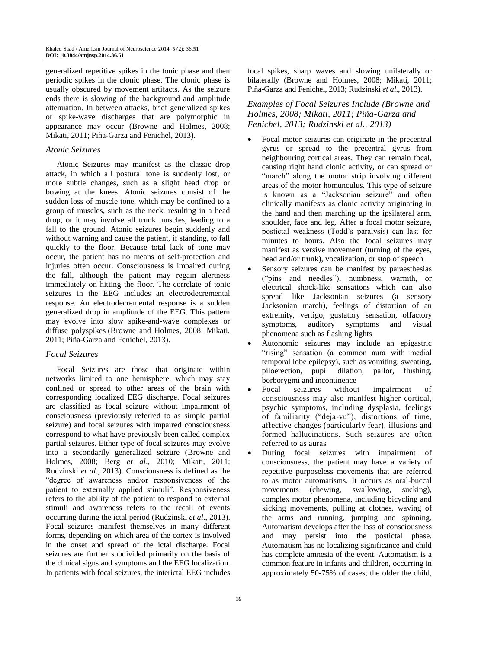generalized repetitive spikes in the tonic phase and then periodic spikes in the clonic phase. The clonic phase is usually obscured by movement artifacts. As the seizure ends there is slowing of the background and amplitude attenuation. In between attacks, brief generalized spikes or spike-wave discharges that are polymorphic in appearance may occur (Browne and Holmes, 2008; Mikati, 2011; Piña-Garza and Fenichel, 2013).

### *Atonic Seizures*

Atonic Seizures may manifest as the classic drop attack, in which all postural tone is suddenly lost, or more subtle changes, such as a slight head drop or bowing at the knees. Atonic seizures consist of the sudden loss of muscle tone, which may be confined to a group of muscles, such as the neck, resulting in a head drop, or it may involve all trunk muscles, leading to a fall to the ground. Atonic seizures begin suddenly and without warning and cause the patient, if standing, to fall quickly to the floor. Because total lack of tone may occur, the patient has no means of self-protection and injuries often occur. Consciousness is impaired during the fall, although the patient may regain alertness immediately on hitting the floor. The correlate of tonic seizures in the EEG includes an electrodecremental response. An electrodecremental response is a sudden generalized drop in amplitude of the EEG. This pattern may evolve into slow spike-and-wave complexes or diffuse polyspikes (Browne and Holmes, 2008; Mikati, 2011; Piña-Garza and Fenichel, 2013).

### *Focal Seizures*

Focal Seizures are those that originate within networks limited to one hemisphere, which may stay confined or spread to other areas of the brain with corresponding localized EEG discharge. Focal seizures are classified as focal seizure without impairment of consciousness (previously referred to as simple partial seizure) and focal seizures with impaired consciousness correspond to what have previously been called complex partial seizures. Either type of focal seizures may evolve into a secondarily generalized seizure (Browne and Holmes, 2008; Berg *et al*., 2010; Mikati, 2011; Rudzinski *et al*., 2013). Consciousness is defined as the "degree of awareness and/or responsiveness of the patient to externally applied stimuli". Responsiveness refers to the ability of the patient to respond to external stimuli and awareness refers to the recall of events occurring during the ictal period (Rudzinski *et al*., 2013). Focal seizures manifest themselves in many different forms, depending on which area of the cortex is involved in the onset and spread of the ictal discharge. Focal seizures are further subdivided primarily on the basis of the clinical signs and symptoms and the EEG localization. In patients with focal seizures, the interictal EEG includes

focal spikes, sharp waves and slowing unilaterally or bilaterally (Browne and Holmes, 2008; Mikati, 2011; Piña-Garza and Fenichel, 2013; Rudzinski *et al*., 2013).

# *Examples of Focal Seizures Include (Browne and Holmes, 2008; Mikati, 2011; Piña-Garza and Fenichel, 2013; Rudzinski et al., 2013)*

- Focal motor seizures can originate in the precentral gyrus or spread to the precentral gyrus from neighbouring cortical areas. They can remain focal, causing right hand clonic activity, or can spread or "march" along the motor strip involving different areas of the motor homunculus. This type of seizure is known as a "Jacksonian seizure" and often clinically manifests as clonic activity originating in the hand and then marching up the ipsilateral arm, shoulder, face and leg. After a focal motor seizure, postictal weakness (Todd's paralysis) can last for minutes to hours. Also the focal seizures may manifest as versive movement (turning of the eyes, head and/or trunk), vocalization, or stop of speech
- Sensory seizures can be manifest by paraesthesias ("pins and needles"), numbness, warmth, or electrical shock-like sensations which can also spread like Jacksonian seizures (a sensory Jacksonian march), feelings of distortion of an extremity, vertigo, gustatory sensation, olfactory symptoms, auditory symptoms and visual phenomena such as flashing lights
- Autonomic seizures may include an epigastric "rising" sensation (a common aura with medial temporal lobe epilepsy), such as vomiting, sweating, piloerection, pupil dilation, pallor, flushing, borborygmi and incontinence
- Focal seizures without impairment of consciousness may also manifest higher cortical, psychic symptoms, including dysplasia, feelings of familiarity ("deja-vu"), distortions of time, affective changes (particularly fear), illusions and formed hallucinations. Such seizures are often referred to as auras
- During focal seizures with impairment of consciousness, the patient may have a variety of repetitive purposeless movements that are referred to as motor automatisms. It occurs as oral-buccal movements (chewing, swallowing, sucking), complex motor phenomena, including bicycling and kicking movements, pulling at clothes, waving of the arms and running, jumping and spinning. Automatism develops after the loss of consciousness and may persist into the postictal phase. Automatism has no localizing significance and child has complete amnesia of the event. Automatism is a common feature in infants and children, occurring in approximately 50-75% of cases; the older the child,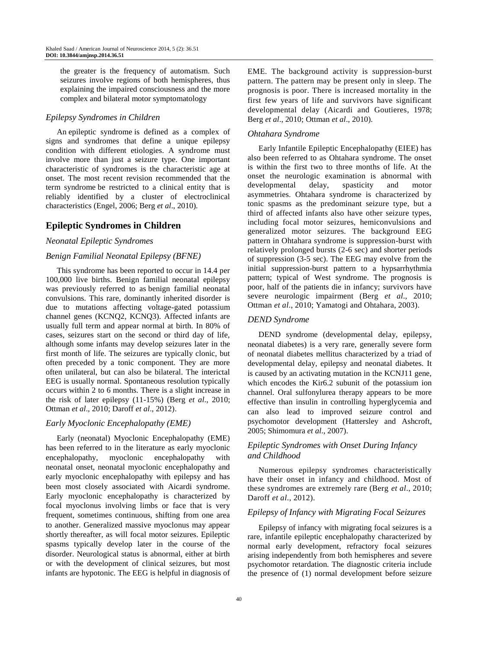the greater is the frequency of automatism. Such seizures involve regions of both hemispheres, thus explaining the impaired consciousness and the more complex and bilateral motor symptomatology

### *Epilepsy Syndromes in Children*

An epileptic syndrome is defined as a complex of signs and syndromes that define a unique epilepsy condition with different etiologies. A syndrome must involve more than just a seizure type. One important characteristic of syndromes is the characteristic age at onset. The most recent revision recommended that the term syndrome be restricted to a clinical entity that is reliably identified by a cluster of electroclinical characteristics (Engel, 2006; Berg *et al*., 2010).

# **Epileptic Syndromes in Children**

### *Neonatal Epileptic Syndromes*

### *Benign Familial Neonatal Epilepsy (BFNE)*

This syndrome has been reported to occur in 14.4 per 100,000 live births. Benign familial neonatal epilepsy was previously referred to as benign familial neonatal convulsions. This rare, dominantly inherited disorder is due to mutations affecting voltage-gated potassium channel genes (KCNQ2, KCNQ3). Affected infants are usually full term and appear normal at birth. In 80% of cases, seizures start on the second or third day of life, although some infants may develop seizures later in the first month of life. The seizures are typically clonic, but often preceded by a tonic component. They are more often unilateral, but can also be bilateral. The interictal EEG is usually normal. Spontaneous resolution typically occurs within 2 to 6 months. There is a slight increase in the risk of later epilepsy (11-15%) (Berg *et al*., 2010; Ottman *et al*., 2010; Daroff *et al*., 2012).

### *Early Myoclonic Encephalopathy (EME)*

Early (neonatal) Myoclonic Encephalopathy (EME) has been referred to in the literature as early myoclonic encephalopathy, myoclonic encephalopathy with neonatal onset, neonatal myoclonic encephalopathy and early myoclonic encephalopathy with epilepsy and has been most closely associated with Aicardi syndrome. Early myoclonic encephalopathy is characterized by focal myoclonus involving limbs or face that is very frequent, sometimes continuous, shifting from one area to another. Generalized massive myoclonus may appear shortly thereafter, as will focal motor seizures. Epileptic spasms typically develop later in the course of the disorder. Neurological status is abnormal, either at birth or with the development of clinical seizures, but most infants are hypotonic. The EEG is helpful in diagnosis of EME. The background activity is suppression-burst pattern. The pattern may be present only in sleep. The prognosis is poor. There is increased mortality in the first few years of life and survivors have significant developmental delay (Aicardi and Goutieres, 1978; Berg *et al*., 2010; Ottman *et al*., 2010).

#### *Ohtahara Syndrome*

Early Infantile Epileptic Encephalopathy (EIEE) has also been referred to as Ohtahara syndrome. The onset is within the first two to three months of life. At the onset the neurologic examination is abnormal with developmental delay, spasticity and motor asymmetries. Ohtahara syndrome is characterized by tonic spasms as the predominant seizure type, but a third of affected infants also have other seizure types, including focal motor seizures, hemiconvulsions and generalized motor seizures. The background EEG pattern in Ohtahara syndrome is suppression-burst with relatively prolonged bursts (2-6 sec) and shorter periods of suppression (3-5 sec). The EEG may evolve from the initial suppression-burst pattern to a hypsarrhythmia pattern; typical of West syndrome. The prognosis is poor, half of the patients die in infancy; survivors have severe neurologic impairment (Berg *et al*., 2010; Ottman *et al*., 2010; Yamatogi and Ohtahara, 2003).

### *DEND Syndrome*

DEND syndrome (developmental delay, epilepsy, neonatal diabetes) is a very rare, generally severe form of neonatal diabetes mellitus characterized by a triad of developmental delay, epilepsy and neonatal diabetes. It is caused by an activating mutation in the KCNJ11 gene, which encodes the Kir6.2 subunit of the potassium ion channel. Oral sulfonylurea therapy appears to be more effective than insulin in controlling hyperglycemia and can also lead to improved seizure control and psychomotor development (Hattersley and Ashcroft, 2005; Shimomura *et al*., 2007).

### *Epileptic Syndromes with Onset During Infancy and Childhood*

Numerous epilepsy syndromes characteristically have their onset in infancy and childhood. Most of these syndromes are extremely rare (Berg *et al*., 2010; Daroff *et al*., 2012).

### *Epilepsy of Infancy with Migrating Focal Seizures*

Epilepsy of infancy with migrating focal seizures is a rare, infantile epileptic encephalopathy characterized by normal early development, refractory focal seizures arising independently from both hemispheres and severe psychomotor retardation. The diagnostic criteria include the presence of (1) normal development before seizure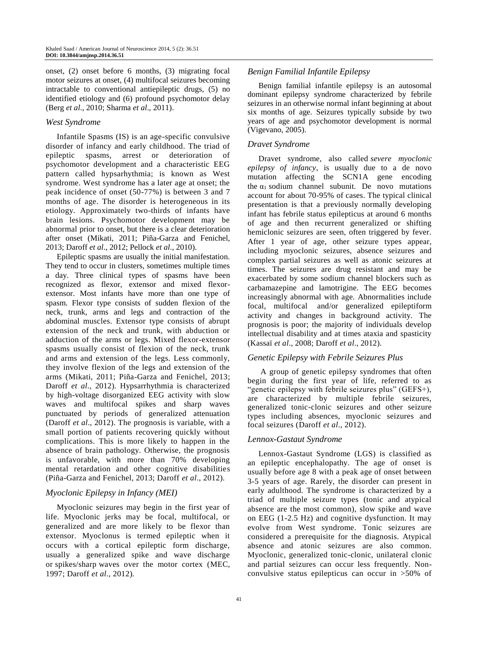onset, (2) onset before 6 months, (3) migrating focal motor seizures at onset, (4) multifocal seizures becoming intractable to conventional antiepileptic drugs, (5) no identified etiology and (6) profound psychomotor delay (Berg *et al*., 2010; Sharma *et al*., 2011).

### *West Syndrome*

Infantile Spasms (IS) is an age-specific convulsive disorder of infancy and early childhood. The triad of epileptic spasms, arrest or deterioration of psychomotor development and a characteristic EEG pattern called hypsarhythmia; is known as West syndrome. West syndrome has a later age at onset; the peak incidence of onset (50-77%) is between 3 and 7 months of age. The disorder is heterogeneous in its etiology. Approximately two-thirds of infants have brain lesions. Psychomotor development may be abnormal prior to onset, but there is a clear deterioration after onset (Mikati, 2011; Piña-Garza and Fenichel, 2013; Daroff *et al*., 2012; Pellock *et al*., 2010).

Epileptic spasms are usually the initial manifestation. They tend to occur in clusters, sometimes multiple times a day. Three clinical types of spasms have been recognized as flexor, extensor and mixed flexorextensor. Most infants have more than one type of spasm. Flexor type consists of sudden flexion of the neck, trunk, arms and legs and contraction of the abdominal muscles. Extensor type consists of abrupt extension of the neck and trunk, with abduction or adduction of the arms or legs. Mixed flexor-extensor spasms usually consist of flexion of the neck, trunk and arms and extension of the legs. Less commonly, they involve flexion of the legs and extension of the arms (Mikati, 2011; Piña-Garza and Fenichel, 2013; Daroff *et al*., 2012). Hypsarrhythmia is characterized by high-voltage disorganized EEG activity with slow waves and multifocal spikes and sharp waves punctuated by periods of generalized attenuation (Daroff *et al*., 2012). The prognosis is variable, with a small portion of patients recovering quickly without complications. This is more likely to happen in the absence of brain pathology. Otherwise, the prognosis is unfavorable, with more than 70% developing mental retardation and other cognitive disabilities (Piña-Garza and Fenichel, 2013; Daroff *et al*., 2012).

### *Myoclonic Epilepsy in Infancy (MEI)*

Myoclonic seizures may begin in the first year of life. Myoclonic jerks may be focal, multifocal, or generalized and are more likely to be flexor than extensor. Myoclonus is termed epileptic when it occurs with a cortical epileptic form discharge, usually a generalized spike and wave discharge or spikes/sharp waves over the motor cortex (MEC, 1997; Daroff *et al*., 2012).

# *Benign Familial Infantile Epilepsy*

Benign familial infantile epilepsy is an autosomal dominant epilepsy syndrome characterized by febrile seizures in an otherwise normal infant beginning at about six months of age. Seizures typically subside by two years of age and psychomotor development is normal (Vigevano, 2005).

### *Dravet Syndrome*

Dravet syndrome, also called *severe myoclonic epilepsy of infancy*, is usually due to a de novo mutation affecting the SCN1A gene encoding the  $\alpha_1$  sodium channel subunit. De novo mutations account for about 70-95% of cases. The typical clinical presentation is that a previously normally developing infant has febrile status epilepticus at around 6 months of age and then recurrent generalized or shifting hemiclonic seizures are seen, often triggered by fever. After 1 year of age, other seizure types appear, including myoclonic seizures, absence seizures and complex partial seizures as well as atonic seizures at times. The seizures are drug resistant and may be exacerbated by some sodium channel blockers such as carbamazepine and lamotrigine. The EEG becomes increasingly abnormal with age. Abnormalities include focal, multifocal and/or generalized epileptiform activity and changes in background activity. The prognosis is poor; the majority of individuals develop intellectual disability and at times ataxia and spasticity (Kassaï *et al*., 2008; Daroff *et al*., 2012).

### *Genetic Epilepsy with Febrile Seizures Plus*

A group of genetic epilepsy syndromes that often begin during the first year of life, referred to as "genetic epilepsy with febrile seizures plus" (GEFS+), are characterized by multiple febrile seizures, generalized tonic-clonic seizures and other seizure types including absences, myoclonic seizures and focal seizures (Daroff *et al*., 2012).

### *Lennox-Gastaut Syndrome*

Lennox-Gastaut Syndrome (LGS) is classified as an epileptic encephalopathy. The age of onset is usually before age 8 with a peak age of onset between 3-5 years of age. Rarely, the disorder can present in early adulthood. The syndrome is characterized by a triad of multiple seizure types (tonic and atypical absence are the most common), slow spike and wave on EEG (1-2.5 Hz) and cognitive dysfunction. It may evolve from West syndrome. Tonic seizures are considered a prerequisite for the diagnosis. Atypical absence and atonic seizures are also common. Myoclonic, generalized tonic-clonic, unilateral clonic and partial seizures can occur less frequently. Nonconvulsive status epilepticus can occur in >50% of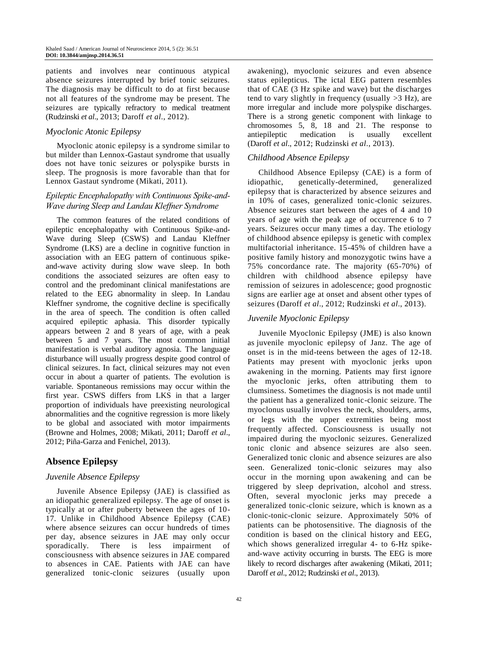patients and involves near continuous atypical absence seizures interrupted by brief tonic seizures. The diagnosis may be difficult to do at first because not all features of the syndrome may be present. The seizures are typically refractory to medical treatment (Rudzinski *et al*., 2013; Daroff *et al*., 2012).

### *Myoclonic Atonic Epilepsy*

Myoclonic atonic epilepsy is a syndrome similar to but milder than Lennox-Gastaut syndrome that usually does not have tonic seizures or polyspike bursts in sleep. The prognosis is more favorable than that for Lennox Gastaut syndrome (Mikati, 2011).

## *Epileptic Encephalopathy with Continuous Spike-and-Wave during Sleep and Landau Kleffner Syndrome*

The common features of the related conditions of epileptic encephalopathy with Continuous Spike-and-Wave during Sleep (CSWS) and Landau Kleffner Syndrome (LKS) are a decline in cognitive function in association with an EEG pattern of continuous spikeand-wave activity during slow wave sleep. In both conditions the associated seizures are often easy to control and the predominant clinical manifestations are related to the EEG abnormality in sleep. In Landau Kleffner syndrome, the cognitive decline is specifically in the area of speech. The condition is often called acquired epileptic aphasia. This disorder typically appears between 2 and 8 years of age, with a peak between 5 and 7 years. The most common initial manifestation is verbal auditory agnosia. The language disturbance will usually progress despite good control of clinical seizures. In fact, clinical seizures may not even occur in about a quarter of patients. The evolution is variable. Spontaneous remissions may occur within the first year. CSWS differs from LKS in that a larger proportion of individuals have preexisting neurological abnormalities and the cognitive regression is more likely to be global and associated with motor impairments (Browne and Holmes, 2008; Mikati, 2011; Daroff *et al*., 2012; Piña-Garza and Fenichel, 2013).

# **Absence Epilepsy**

### *Juvenile Absence Epilepsy*

Juvenile Absence Epilepsy (JAE) is classified as an idiopathic generalized epilepsy. The age of onset is typically at or after puberty between the ages of 10- 17. Unlike in Childhood Absence Epilepsy (CAE) where absence seizures can occur hundreds of times per day, absence seizures in JAE may only occur sporadically. There is less impairment of consciousness with absence seizures in JAE compared to absences in CAE. Patients with JAE can have generalized tonic-clonic seizures (usually upon awakening), myoclonic seizures and even absence status epilepticus. The ictal EEG pattern resembles that of CAE (3 Hz spike and wave) but the discharges tend to vary slightly in frequency (usually >3 Hz), are more irregular and include more polyspike discharges. There is a strong genetic component with linkage to chromosomes 5, 8, 18 and 21. The response to antiepileptic medication is usually excellent (Daroff *et al*., 2012; Rudzinski *et al*., 2013).

# *Childhood Absence Epilepsy*

Childhood Absence Epilepsy (CAE) is a form of idiopathic, genetically-determined, generalized epilepsy that is characterized by absence seizures and in 10% of cases, generalized tonic-clonic seizures. Absence seizures start between the ages of 4 and 10 years of age with the peak age of occurrence 6 to 7 years. Seizures occur many times a day. The etiology of childhood absence epilepsy is genetic with complex multifactorial inheritance. 15-45% of children have a positive family history and monozygotic twins have a 75% concordance rate. The majority (65-70%) of children with childhood absence epilepsy have remission of seizures in adolescence; good prognostic signs are earlier age at onset and absent other types of seizures (Daroff *et al*., 2012; Rudzinski *et al*., 2013).

# *Juvenile Myoclonic Epilepsy*

Juvenile Myoclonic Epilepsy (JME) is also known as juvenile myoclonic epilepsy of Janz. The age of onset is in the mid-teens between the ages of 12-18. Patients may present with myoclonic jerks upon awakening in the morning. Patients may first ignore the myoclonic jerks, often attributing them to clumsiness. Sometimes the diagnosis is not made until the patient has a generalized tonic-clonic seizure. The myoclonus usually involves the neck, shoulders, arms, or legs with the upper extremities being most frequently affected. Consciousness is usually not impaired during the myoclonic seizures. Generalized tonic clonic and absence seizures are also seen. Generalized tonic clonic and absence seizures are also seen. Generalized tonic-clonic seizures may also occur in the morning upon awakening and can be triggered by sleep deprivation, alcohol and stress. Often, several myoclonic jerks may precede a generalized tonic-clonic seizure, which is known as a clonic-tonic-clonic seizure. Approximately 50% of patients can be photosensitive. The diagnosis of the condition is based on the clinical history and EEG, which shows generalized irregular 4- to 6-Hz spikeand-wave activity occurring in bursts. The EEG is more likely to record discharges after awakening (Mikati, 2011; Daroff *et al*., 2012; Rudzinski *et al*., 2013).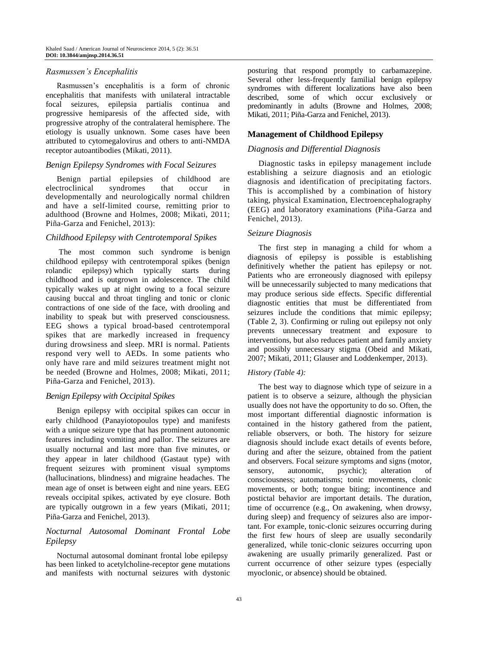### *Rasmussen's Encephalitis*

Rasmussen's encephalitis is a form of chronic encephalitis that manifests with unilateral intractable focal seizures, epilepsia partialis continua and progressive hemiparesis of the affected side, with progressive atrophy of the contralateral hemisphere. The etiology is usually unknown. Some cases have been attributed to cytomegalovirus and others to anti-NMDA receptor autoantibodies (Mikati, 2011).

### *Benign Epilepsy Syndromes with Focal Seizures*

Benign partial epilepsies of childhood are electroclinical syndromes that occur in developmentally and neurologically normal children and have a self-limited course, remitting prior to adulthood (Browne and Holmes, 2008; Mikati, 2011; Piña-Garza and Fenichel, 2013):

### *Childhood Epilepsy with Centrotemporal Spikes*

The most common such syndrome is benign childhood epilepsy with centrotemporal spikes (benign rolandic epilepsy) which typically starts during childhood and is outgrown in adolescence. The child typically wakes up at night owing to a focal seizure causing buccal and throat tingling and tonic or clonic contractions of one side of the face, with drooling and inability to speak but with preserved consciousness. EEG shows a typical broad-based centrotemporal spikes that are markedly increased in frequency during drowsiness and sleep. MRI is normal. Patients respond very well to AEDs. In some patients who only have rare and mild seizures treatment might not be needed (Browne and Holmes, 2008; Mikati, 2011; Piña-Garza and Fenichel, 2013).

### *Benign Epilepsy with Occipital Spikes*

Benign epilepsy with occipital spikes can occur in early childhood (Panayiotopoulos type) and manifests with a unique seizure type that has prominent autonomic features including vomiting and pallor. The seizures are usually nocturnal and last more than five minutes, or they appear in later childhood (Gastaut type) with frequent seizures with prominent visual symptoms (hallucinations, blindness) and migraine headaches. The mean age of onset is between eight and nine years. EEG reveals occipital spikes, activated by eye closure. Both are typically outgrown in a few years (Mikati, 2011; Piña-Garza and Fenichel, 2013).

# *Nocturnal Autosomal Dominant Frontal Lobe Epilepsy*

Nocturnal autosomal dominant frontal lobe epilepsy has been linked to acetylcholine-receptor gene mutations and manifests with nocturnal seizures with dystonic

posturing that respond promptly to carbamazepine. Several other less-frequently familial benign epilepsy syndromes with different localizations have also been described, some of which occur exclusively or predominantly in adults (Browne and Holmes, 2008; Mikati, 2011; Piña-Garza and Fenichel, 2013).

### **Management of Childhood Epilepsy**

### *Diagnosis and Differential Diagnosis*

Diagnostic tasks in epilepsy management include establishing a seizure diagnosis and an etiologic diagnosis and identification of precipitating factors. This is accomplished by a combination of history taking, physical Examination, Electroencephalography (EEG) and laboratory examinations (Piña-Garza and Fenichel, 2013).

### *Seizure Diagnosis*

The first step in managing a child for whom a diagnosis of epilepsy is possible is establishing definitively whether the patient has epilepsy or not. Patients who are erroneously diagnosed with epilepsy will be unnecessarily subjected to many medications that may produce serious side effects. Specific differential diagnostic entities that must be differentiated from seizures include the conditions that mimic epilepsy; (Table 2, 3). Confirming or ruling out epilepsy not only prevents unnecessary treatment and exposure to interventions, but also reduces patient and family anxiety and possibly unnecessary stigma (Obeid and Mikati, 2007; Mikati, 2011; Glauser and Loddenkemper, 2013).

### *History (Table 4):*

The best way to diagnose which type of seizure in a patient is to observe a seizure, although the physician usually does not have the opportunity to do so. Often, the most important differential diagnostic information is contained in the history gathered from the patient, reliable observers, or both. The history for seizure diagnosis should include exact details of events before, during and after the seizure, obtained from the patient and observers. Focal seizure symptoms and signs (motor, sensory, autonomic, psychic); alteration of consciousness; automatisms; tonic movements, clonic movements, or both; tongue biting; incontinence and postictal behavior are important details. The duration, time of occurrence (e.g., On awakening, when drowsy, during sleep) and frequency of seizures also are important. For example, tonic-clonic seizures occurring during the first few hours of sleep are usually secondarily generalized, while tonic-clonic seizures occurring upon awakening are usually primarily generalized. Past or current occurrence of other seizure types (especially myoclonic, or absence) should be obtained.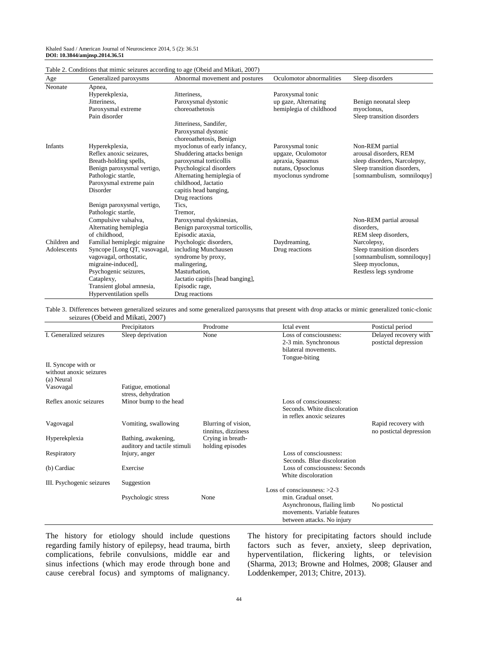| Age          | Generalized paroxysms        | Abnormal movement and postures   | Oculomotor abnormalities | Sleep disorders              |
|--------------|------------------------------|----------------------------------|--------------------------|------------------------------|
| Neonate      | Apnea,                       |                                  |                          |                              |
|              | Hyperekplexia,               | Jitteriness,                     | Paroxysmal tonic         |                              |
|              | Jitteriness,                 | Paroxysmal dystonic              | up gaze, Alternating     | Benign neonatal sleep        |
|              | Paroxysmal extreme           | choreoathetosis                  | hemiplegia of childhood  | myoclonus,                   |
|              | Pain disorder                |                                  |                          | Sleep transition disorders   |
|              |                              | Jitteriness, Sandifer,           |                          |                              |
|              |                              | Paroxysmal dystonic              |                          |                              |
|              |                              | choreoathetosis, Benign          |                          |                              |
| Infants      | Hyperekplexia,               | myoclonus of early infancy,      | Paroxysmal tonic         | Non-REM partial              |
|              | Reflex anoxic seizures,      | Shuddering attacks benign        | upgaze, Oculomotor       | arousal disorders, REM       |
|              | Breath-holding spells,       | paroxysmal torticollis           | apraxia, Spasmus         | sleep disorders, Narcolepsy, |
|              | Benign paroxysmal vertigo,   | Psychological disorders          | nutans, Opsoclonus       | Sleep transition disorders,  |
|              | Pathologic startle,          | Alternating hemiplegia of        | myoclonus syndrome       | [somnambulism, somniloquy]   |
|              | Paroxysmal extreme pain      | childhood, Jactatio              |                          |                              |
|              | Disorder                     | capitis head banging,            |                          |                              |
|              |                              | Drug reactions                   |                          |                              |
|              | Benign paroxysmal vertigo,   | Tics.                            |                          |                              |
|              | Pathologic startle,          | Tremor,                          |                          |                              |
|              | Compulsive valsalva,         | Paroxysmal dyskinesias,          |                          | Non-REM partial arousal      |
|              | Alternating hemiplegia       | Benign paroxysmal torticollis,   |                          | disorders.                   |
|              | of childhood.                | Episodic ataxia,                 |                          | REM sleep disorders,         |
| Children and | Familial hemiplegic migraine | Psychologic disorders,           | Daydreaming,             | Narcolepsy,                  |
| Adolescents  | Syncope [Long QT, vasovagal, | including Munchausen             | Drug reactions           | Sleep transition disorders   |
|              | vagovagal, orthostatic,      | syndrome by proxy,               |                          | [somnambulism, somniloquy]   |
|              | migraine-induced],           | malingering,                     |                          | Sleep myoclonus,             |
|              | Psychogenic seizures,        | Masturbation,                    |                          | Restless legs syndrome       |
|              | Cataplexy,                   | Jactatio capitis [head banging], |                          |                              |
|              | Transient global amnesia,    | Episodic rage,                   |                          |                              |
|              | Hyperventilation spells      | Drug reactions                   |                          |                              |

#### Table 2. Conditions that mimic seizures according to age (Obeid and Mikati, 2007)

Table 3. Differences between generalized seizures and some generalized paroxysms that present with drop attacks or mimic generalized tonic-clonic seizures (Obeid and Mikati, 2007)

|                                                              | Precipitators                                       | Prodrome                                   | Ictal event                                                                                                      | Postictal period                               |
|--------------------------------------------------------------|-----------------------------------------------------|--------------------------------------------|------------------------------------------------------------------------------------------------------------------|------------------------------------------------|
| I. Generalized seizures                                      | Sleep deprivation                                   | None                                       | Loss of consciousness:<br>2-3 min. Synchronous<br>bilateral movements.<br>Tongue-biting                          | Delayed recovery with<br>postictal depression  |
| II. Syncope with or<br>without anoxic seizures<br>(a) Neural |                                                     |                                            |                                                                                                                  |                                                |
| Vasovagal                                                    | Fatigue, emotional<br>stress, dehydration           |                                            |                                                                                                                  |                                                |
| Reflex anoxic seizures                                       | Minor bump to the head                              |                                            | Loss of consciousness:<br>Seconds. White discoloration<br>in reflex anoxic seizures                              |                                                |
| Vagovagal                                                    | Vomiting, swallowing                                | Blurring of vision,<br>tinnitus, dizziness |                                                                                                                  | Rapid recovery with<br>no postictal depression |
| Hyperekplexia                                                | Bathing, awakening,<br>auditory and tactile stimuli | Crying in breath-<br>holding episodes      |                                                                                                                  |                                                |
| Respiratory                                                  | Injury, anger                                       |                                            | Loss of consciousness:<br>Seconds. Blue discoloration                                                            |                                                |
| (b) Cardiac                                                  | Exercise                                            |                                            | Loss of consciousness: Seconds<br>White discoloration                                                            |                                                |
| III. Psychogenic seizures                                    | Suggestion                                          |                                            | Loss of consciousness: $>2-3$                                                                                    |                                                |
|                                                              | Psychologic stress                                  | None                                       | min. Gradual onset.<br>Asynchronous, flailing limb<br>movements. Variable features<br>between attacks. No injury | No postictal                                   |

The history for etiology should include questions regarding family history of epilepsy, head trauma, birth complications, febrile convulsions, middle ear and sinus infections (which may erode through bone and cause cerebral focus) and symptoms of malignancy.

The history for precipitating factors should include factors such as fever, anxiety, sleep deprivation, hyperventilation, flickering lights, or television (Sharma, 2013; Browne and Holmes, 2008; Glauser and Loddenkemper, 2013; Chitre, 2013).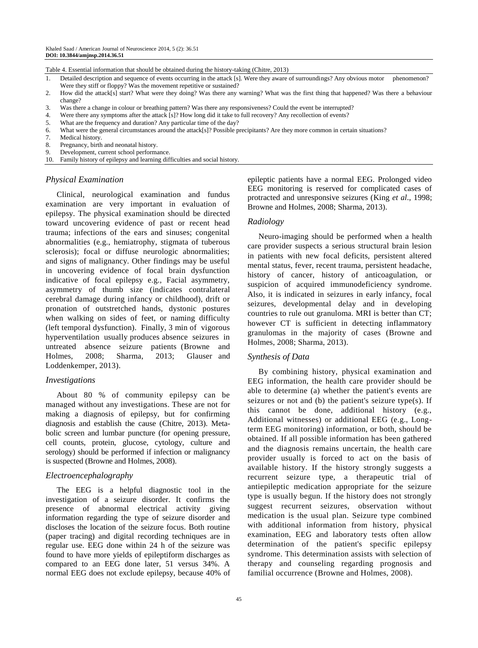Table 4. Essential information that should be obtained during the history-taking (Chitre, 2013)

- 1. Detailed description and sequence of events occurring in the attack [s]. Were they aware of surroundings? Any obvious motor phenomenon? Were they stiff or floppy? Was the movement repetitive or sustained?
- 2. How did the attack[s] start? What were they doing? Was there any warning? What was the first thing that happened? Was there a behaviour change?
- 3. Was there a change in colour or breathing pattern? Was there any responsiveness? Could the event be interrupted?<br>4. Were there any symptoms after the attack [sl?] How long did it take to full recovery? Any recollection
- Were there any symptoms after the attack [s]? How long did it take to full recovery? Any recollection of events?
- 5. What are the frequency and duration? Any particular time of the day?
- 6. What were the general circumstances around the attack[s]? Possible precipitants? Are they more common in certain situations?
- 7. Medical history.
- 8. Pregnancy, birth and neonatal history.
- 9. Development, current school performance.
- 10. Family history of epilepsy and learning difficulties and social history.

#### *Physical Examination*

Clinical, neurological examination and fundus examination are very important in evaluation of epilepsy. The physical examination should be directed toward uncovering evidence of past or recent head trauma; infections of the ears and sinuses; congenital abnormalities (e.g., hemiatrophy, stigmata of tuberous sclerosis); focal or diffuse neurologic abnormalities; and signs of malignancy. Other findings may be useful in uncovering evidence of focal brain dysfunction indicative of focal epilepsy e.g., Facial asymmetry, asymmetry of thumb size (indicates contralateral cerebral damage during infancy or childhood), drift or pronation of outstretched hands, dystonic postures when walking on sides of feet, or naming difficulty (left temporal dysfunction). Finally, 3 min of vigorous hyperventilation usually produces absence seizures in untreated absence seizure patients (Browne and Holmes, 2008; Sharma, 2013; Glauser and Loddenkemper, 2013).

#### *Investigations*

About 80 % of community epilepsy can be managed without any investigations. These are not for making a diagnosis of epilepsy, but for confirming diagnosis and establish the cause (Chitre, 2013). Metabolic screen and lumbar puncture (for opening pressure, cell counts, protein, glucose, cytology, culture and serology) should be performed if infection or malignancy is suspected (Browne and Holmes, 2008).

#### *Electroencephalography*

The EEG is a helpful diagnostic tool in the investigation of a seizure disorder. It confirms the presence of abnormal electrical activity giving information regarding the type of seizure disorder and discloses the location of the seizure focus. Both routine (paper tracing) and digital recording techniques are in regular use. EEG done within 24 h of the seizure was found to have more yields of epileptiform discharges as compared to an EEG done later, 51 versus 34%. A normal EEG does not exclude epilepsy, because 40% of epileptic patients have a normal EEG. Prolonged video EEG monitoring is reserved for complicated cases of protracted and unresponsive seizures (King *et al*., 1998; Browne and Holmes, 2008; Sharma, 2013).

#### *Radiology*

Neuro-imaging should be performed when a health care provider suspects a serious structural brain lesion in patients with new focal deficits, persistent altered mental status, fever, recent trauma, persistent headache, history of cancer, history of anticoagulation, or suspicion of acquired immunodeficiency syndrome. Also, it is indicated in seizures in early infancy, focal seizures, developmental delay and in developing countries to rule out granuloma. MRI is better than CT; however CT is sufficient in detecting inflammatory granulomas in the majority of cases (Browne and Holmes, 2008; Sharma, 2013).

#### *Synthesis of Data*

By combining history, physical examination and EEG information, the health care provider should be able to determine (a) whether the patient's events are seizures or not and (b) the patient's seizure type(s). If this cannot be done, additional history (e.g., Additional witnesses) or additional EEG (e.g., Longterm EEG monitoring) information, or both, should be obtained. If all possible information has been gathered and the diagnosis remains uncertain, the health care provider usually is forced to act on the basis of available history. If the history strongly suggests a recurrent seizure type, a therapeutic trial of antiepileptic medication appropriate for the seizure type is usually begun. If the history does not strongly suggest recurrent seizures, observation without medication is the usual plan. Seizure type combined with additional information from history, physical examination, EEG and laboratory tests often allow determination of the patient's specific epilepsy syndrome. This determination assists with selection of therapy and counseling regarding prognosis and familial occurrence (Browne and Holmes, 2008).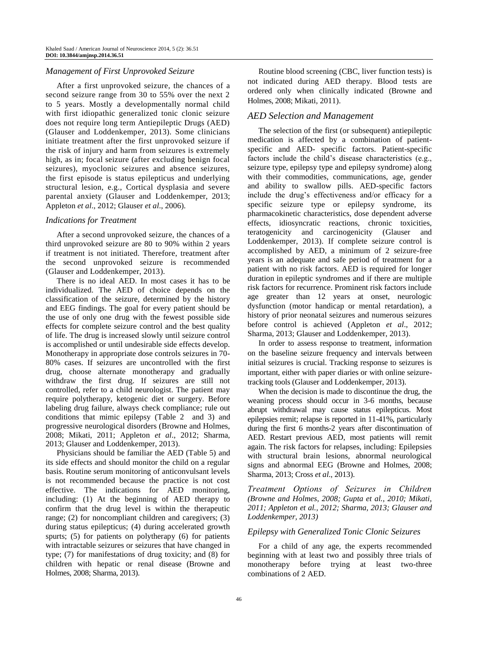### *Management of First Unprovoked Seizure*

After a first unprovoked seizure, the chances of a second seizure range from 30 to 55% over the next 2 to 5 years. Mostly a developmentally normal child with first idiopathic generalized tonic clonic seizure does not require long term Antiepileptic Drugs (AED) (Glauser and Loddenkemper, 2013). Some clinicians initiate treatment after the first unprovoked seizure if the risk of injury and harm from seizures is extremely high, as in; focal seizure (after excluding benign focal seizures), myoclonic seizures and absence seizures, the first episode is status epilepticus and underlying structural lesion, e.g., Cortical dysplasia and severe parental anxiety (Glauser and Loddenkemper, 2013; Appleton *et al*., 2012; Glauser *et al*., 2006).

#### *Indications for Treatment*

After a second unprovoked seizure, the chances of a third unprovoked seizure are 80 to 90% within 2 years if treatment is not initiated. Therefore, treatment after the second unprovoked seizure is recommended (Glauser and Loddenkemper, 2013).

There is no ideal AED. In most cases it has to be individualized. The AED of choice depends on the classification of the seizure, determined by the history and EEG findings. The goal for every patient should be the use of only one drug with the fewest possible side effects for complete seizure control and the best quality of life. The drug is increased slowly until seizure control is accomplished or until undesirable side effects develop. Monotherapy in appropriate dose controls seizures in 70- 80% cases. If seizures are uncontrolled with the first drug, choose alternate monotherapy and gradually withdraw the first drug. If seizures are still not controlled, refer to a child neurologist. The patient may require polytherapy, ketogenic diet or surgery. Before labeling drug failure, always check compliance; rule out conditions that mimic epilepsy (Table 2 and 3) and progressive neurological disorders (Browne and Holmes, 2008; Mikati, 2011; Appleton *et al*., 2012; Sharma, 2013; Glauser and Loddenkemper, 2013).

Physicians should be familiar the AED (Table 5) and its side effects and should monitor the child on a regular basis. Routine serum monitoring of anticonvulsant levels is not recommended because the practice is not cost effective. The indications for AED monitoring, including: (1) At the beginning of AED therapy to confirm that the drug level is within the therapeutic range; (2) for noncompliant children and caregivers; (3) during status epilepticus; (4) during accelerated growth spurts; (5) for patients on polytherapy (6) for patients with intractable seizures or seizures that have changed in type; (7) for manifestations of drug toxicity; and (8) for children with hepatic or renal disease (Browne and Holmes, 2008; Sharma, 2013).

Routine blood screening (CBC, liver function tests) is not indicated during AED therapy. Blood tests are ordered only when clinically indicated (Browne and Holmes, 2008; Mikati, 2011).

### *AED Selection and Management*

The selection of the first (or subsequent) antiepileptic medication is affected by a combination of patientspecific and AED- specific factors. Patient-specific factors include the child's disease characteristics (e.g., seizure type, epilepsy type and epilepsy syndrome) along with their commodities, communications, age, gender and ability to swallow pills. AED-specific factors include the drug's effectiveness and/or efficacy for a specific seizure type or epilepsy syndrome, its pharmacokinetic characteristics, dose dependent adverse effects, idiosyncratic reactions, chronic toxicities, teratogenicity and carcinogenicity (Glauser and Loddenkemper, 2013). If complete seizure control is accomplished by AED, a minimum of 2 seizure-free years is an adequate and safe period of treatment for a patient with no risk factors. AED is required for longer duration in epileptic syndromes and if there are multiple risk factors for recurrence. Prominent risk factors include age greater than 12 years at onset, neurologic dysfunction (motor handicap or mental retardation), a history of prior neonatal seizures and numerous seizures before control is achieved (Appleton *et al*., 2012; Sharma, 2013; Glauser and Loddenkemper, 2013).

In order to assess response to treatment, information on the baseline seizure frequency and intervals between initial seizures is crucial. Tracking response to seizures is important, either with paper diaries or with online seizuretracking tools (Glauser and Loddenkemper, 2013).

When the decision is made to discontinue the drug, the weaning process should occur in 3-6 months, because abrupt withdrawal may cause status epilepticus. Most epilepsies remit; relapse is reported in 11-41%, particularly during the first 6 months-2 years after discontinuation of AED. Restart previous AED, most patients will remit again. The risk factors for relapses, including: Epilepsies with structural brain lesions, abnormal neurological signs and abnormal EEG (Browne and Holmes, 2008; Sharma, 2013; Cross *et al*., 2013).

*Treatment Options of Seizures in Children (Browne and Holmes, 2008; Gupta et al., 2010; Mikati, 2011; Appleton et al., 2012; Sharma, 2013; Glauser and Loddenkemper, 2013)*

### *Epilepsy with Generalized Tonic Clonic Seizures*

For a child of any age, the experts recommended beginning with at least two and possibly three trials of monotherapy before trying at least two-three combinations of 2 AED.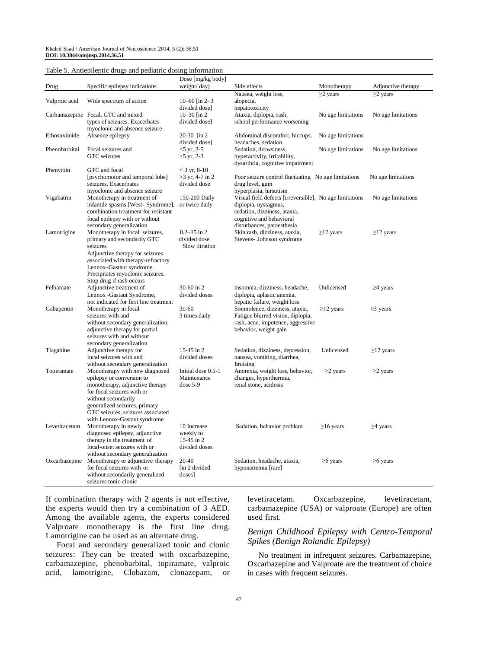| Table 5. Antiepileptic drugs and pediatric dosing information |  |  |
|---------------------------------------------------------------|--|--|
|                                                               |  |  |

| Nausea, weight loss,<br>$\geq$ 2 years<br>$\geq$ 2 years<br>Valproic acid<br>10-60 $\[\ln 2 - 3\]$<br>alopecia,<br>Wide spectrum of action<br>divided dose]<br>hepatotoxicity<br>Ataxia, diplopia, rash,<br>Carbamazepine Focal, GTC and mixed<br>$10 - 30$ [in 2]<br>No age limitations<br>No age limitations<br>types of seizures. Exacerbates<br>divided dose]<br>school performance worsening<br>myoclonic and absence seizure<br>Ethosuximide<br>Absence epilepsy<br>$20-30$ [in 2]<br>Abdominal discomfort, hiccups,<br>No age limitations<br>divided dose]<br>headaches, sedation<br>$5 \, \text{yr}$ , 3-5<br>Sedation, drowsiness,<br>No age limitations<br>Phenobarbital<br>Focal seizures and<br>No age limitations<br>GTC seizures<br>$>5 \text{ yr}, 2-3$<br>hyperactivity, irritability,<br>dysarthria, cognitive impairment<br>Phenytoin<br>GTC and focal<br>$<$ 3 yr, 8-10<br>$>3$ yr, 4-7 in 2<br>[psychomotor and temporal lobe]<br>Poor seizure control fluctuating No age limitations<br>No age limitations<br>seizures. Exacerbates<br>divided dose<br>drug level, gum<br>myoclonic and absence seizure<br>hyperplasia, hirsutism<br>Vigabatrin<br>150-200 Daily<br>Visual field defects [irreversible], No age limitations<br>Monotherapy in treatment of<br>No age limitations<br>diplopia, nystagmus,<br>infantile spasms [West-Syndrome],<br>or twice daily<br>combination treatment for resistant<br>sedation, dizziness, ataxia,<br>focal epilepsy with or without<br>cognitive and behavioral<br>secondary generalization<br>disturbances, paraesthesia<br>Monotherapy in focal seizures,<br>Lamotrigine<br>$0.2 - 15$ in 2<br>Skin rash, dizziness, ataxia,<br>$\geq$ 12 years<br>$\geq$ 12 years<br>primary and secondarily GTC<br>divided dose<br>Stevens- Johnson syndrome<br>seizures<br>Slow titration<br>Adjunctive therapy for seizures<br>associated with therapy-refractory<br>Lennox-Gastaut syndrome.<br>Precipitates myoclonic seizures.<br>Stop drug if rash occurs<br>Felbamate<br>Adjunctive treatment of<br>30-60 in 2<br>insomnia, dizziness, headache,<br>Unlicensed<br>$\geq$ 4 years<br>Lennox -Gastaut Syndrome,<br>divided doses<br>diplopia, aplastic anemia,<br>not indicated for first line treatment<br>hepatic failure, weight loss<br>Gabapentin<br>Monotherapy in focal<br>$30 - 60$<br>Somnolence, dizziness, ataxia,<br>$\geq$ 12 years<br>$\geq$ 3 years<br>seizures with and<br>3 times daily<br>Fatigue blurred vision, diplopia,<br>without secondary generalization,<br>rash, acne, impotence, aggressive<br>adjunctive therapy for partial<br>behavior, weight gain<br>seizures with and without<br>secondary generalization<br>Tiagabine<br>Adjunctive therapy for<br>15-45 in 2<br>Sedation, dizziness, depression,<br>Unlicensed<br>$\geq$ 12 years<br>focal seizures with and<br>divided doses<br>nausea, vomiting, diarrhea,<br>without secondary generalization<br>bruising<br>Topiramate<br>Monotherapy with new diagnosed<br>Initial dose 0.5-1<br>Anorexia, weight loss, behavior,<br>$\geq$ 2 years<br>$\geq$ 2 years<br>epilepsy or conversion to<br>Maintenance<br>changes, hyperthermia,<br>monotherapy, adjunctive therapy<br>dose $5-9$<br>renal stone, acidosis<br>for focal seizures with or<br>without secondarily<br>generalized seizures, primary<br>GTC seizures, seizures associated<br>with Lennox-Gastaut syndrome<br>Monotherapy in newly<br>10 Increase<br>Levetiracetam<br>Sedation, behavior problem<br>$\geq$ 16 years<br>$\geq$ 4 years<br>diagnosed epilepsy, adjunctive<br>weekly to<br>therapy in the treatment of<br>15-45 in 2<br>focal-onset seizures with or<br>divided doses<br>without secondary generalization<br>Monotherapy or adjunctive therapy<br>$20 - 40$<br>Oxcarbazepine<br>Sedation, headache, ataxia,<br>$\geq$ 6 years<br>$\geq$ 6 years<br>for focal seizures with or<br>[in 2 divided<br>hyponatremia [rare]<br>without secondarily generalized<br>doses]<br>seizures tonic-clonic | Drug | Specific epilepsy indications | Dose [mg/kg body]<br>weight/day] | Side effects | Monotherapy | Adjunctive therapy |
|------------------------------------------------------------------------------------------------------------------------------------------------------------------------------------------------------------------------------------------------------------------------------------------------------------------------------------------------------------------------------------------------------------------------------------------------------------------------------------------------------------------------------------------------------------------------------------------------------------------------------------------------------------------------------------------------------------------------------------------------------------------------------------------------------------------------------------------------------------------------------------------------------------------------------------------------------------------------------------------------------------------------------------------------------------------------------------------------------------------------------------------------------------------------------------------------------------------------------------------------------------------------------------------------------------------------------------------------------------------------------------------------------------------------------------------------------------------------------------------------------------------------------------------------------------------------------------------------------------------------------------------------------------------------------------------------------------------------------------------------------------------------------------------------------------------------------------------------------------------------------------------------------------------------------------------------------------------------------------------------------------------------------------------------------------------------------------------------------------------------------------------------------------------------------------------------------------------------------------------------------------------------------------------------------------------------------------------------------------------------------------------------------------------------------------------------------------------------------------------------------------------------------------------------------------------------------------------------------------------------------------------------------------------------------------------------------------------------------------------------------------------------------------------------------------------------------------------------------------------------------------------------------------------------------------------------------------------------------------------------------------------------------------------------------------------------------------------------------------------------------------------------------------------------------------------------------------------------------------------------------------------------------------------------------------------------------------------------------------------------------------------------------------------------------------------------------------------------------------------------------------------------------------------------------------------------------------------------------------------------------------------------------------------------------------------------------------------------------------------------------------------------------------------------------------------------------------------------------------------------------------------------------------------------------------------------------------------------------------------------------------|------|-------------------------------|----------------------------------|--------------|-------------|--------------------|
|                                                                                                                                                                                                                                                                                                                                                                                                                                                                                                                                                                                                                                                                                                                                                                                                                                                                                                                                                                                                                                                                                                                                                                                                                                                                                                                                                                                                                                                                                                                                                                                                                                                                                                                                                                                                                                                                                                                                                                                                                                                                                                                                                                                                                                                                                                                                                                                                                                                                                                                                                                                                                                                                                                                                                                                                                                                                                                                                                                                                                                                                                                                                                                                                                                                                                                                                                                                                                                                                                                                                                                                                                                                                                                                                                                                                                                                                                                                                                                                                            |      |                               |                                  |              |             |                    |
|                                                                                                                                                                                                                                                                                                                                                                                                                                                                                                                                                                                                                                                                                                                                                                                                                                                                                                                                                                                                                                                                                                                                                                                                                                                                                                                                                                                                                                                                                                                                                                                                                                                                                                                                                                                                                                                                                                                                                                                                                                                                                                                                                                                                                                                                                                                                                                                                                                                                                                                                                                                                                                                                                                                                                                                                                                                                                                                                                                                                                                                                                                                                                                                                                                                                                                                                                                                                                                                                                                                                                                                                                                                                                                                                                                                                                                                                                                                                                                                                            |      |                               |                                  |              |             |                    |
|                                                                                                                                                                                                                                                                                                                                                                                                                                                                                                                                                                                                                                                                                                                                                                                                                                                                                                                                                                                                                                                                                                                                                                                                                                                                                                                                                                                                                                                                                                                                                                                                                                                                                                                                                                                                                                                                                                                                                                                                                                                                                                                                                                                                                                                                                                                                                                                                                                                                                                                                                                                                                                                                                                                                                                                                                                                                                                                                                                                                                                                                                                                                                                                                                                                                                                                                                                                                                                                                                                                                                                                                                                                                                                                                                                                                                                                                                                                                                                                                            |      |                               |                                  |              |             |                    |
|                                                                                                                                                                                                                                                                                                                                                                                                                                                                                                                                                                                                                                                                                                                                                                                                                                                                                                                                                                                                                                                                                                                                                                                                                                                                                                                                                                                                                                                                                                                                                                                                                                                                                                                                                                                                                                                                                                                                                                                                                                                                                                                                                                                                                                                                                                                                                                                                                                                                                                                                                                                                                                                                                                                                                                                                                                                                                                                                                                                                                                                                                                                                                                                                                                                                                                                                                                                                                                                                                                                                                                                                                                                                                                                                                                                                                                                                                                                                                                                                            |      |                               |                                  |              |             |                    |
|                                                                                                                                                                                                                                                                                                                                                                                                                                                                                                                                                                                                                                                                                                                                                                                                                                                                                                                                                                                                                                                                                                                                                                                                                                                                                                                                                                                                                                                                                                                                                                                                                                                                                                                                                                                                                                                                                                                                                                                                                                                                                                                                                                                                                                                                                                                                                                                                                                                                                                                                                                                                                                                                                                                                                                                                                                                                                                                                                                                                                                                                                                                                                                                                                                                                                                                                                                                                                                                                                                                                                                                                                                                                                                                                                                                                                                                                                                                                                                                                            |      |                               |                                  |              |             |                    |
|                                                                                                                                                                                                                                                                                                                                                                                                                                                                                                                                                                                                                                                                                                                                                                                                                                                                                                                                                                                                                                                                                                                                                                                                                                                                                                                                                                                                                                                                                                                                                                                                                                                                                                                                                                                                                                                                                                                                                                                                                                                                                                                                                                                                                                                                                                                                                                                                                                                                                                                                                                                                                                                                                                                                                                                                                                                                                                                                                                                                                                                                                                                                                                                                                                                                                                                                                                                                                                                                                                                                                                                                                                                                                                                                                                                                                                                                                                                                                                                                            |      |                               |                                  |              |             |                    |
|                                                                                                                                                                                                                                                                                                                                                                                                                                                                                                                                                                                                                                                                                                                                                                                                                                                                                                                                                                                                                                                                                                                                                                                                                                                                                                                                                                                                                                                                                                                                                                                                                                                                                                                                                                                                                                                                                                                                                                                                                                                                                                                                                                                                                                                                                                                                                                                                                                                                                                                                                                                                                                                                                                                                                                                                                                                                                                                                                                                                                                                                                                                                                                                                                                                                                                                                                                                                                                                                                                                                                                                                                                                                                                                                                                                                                                                                                                                                                                                                            |      |                               |                                  |              |             |                    |
|                                                                                                                                                                                                                                                                                                                                                                                                                                                                                                                                                                                                                                                                                                                                                                                                                                                                                                                                                                                                                                                                                                                                                                                                                                                                                                                                                                                                                                                                                                                                                                                                                                                                                                                                                                                                                                                                                                                                                                                                                                                                                                                                                                                                                                                                                                                                                                                                                                                                                                                                                                                                                                                                                                                                                                                                                                                                                                                                                                                                                                                                                                                                                                                                                                                                                                                                                                                                                                                                                                                                                                                                                                                                                                                                                                                                                                                                                                                                                                                                            |      |                               |                                  |              |             |                    |
|                                                                                                                                                                                                                                                                                                                                                                                                                                                                                                                                                                                                                                                                                                                                                                                                                                                                                                                                                                                                                                                                                                                                                                                                                                                                                                                                                                                                                                                                                                                                                                                                                                                                                                                                                                                                                                                                                                                                                                                                                                                                                                                                                                                                                                                                                                                                                                                                                                                                                                                                                                                                                                                                                                                                                                                                                                                                                                                                                                                                                                                                                                                                                                                                                                                                                                                                                                                                                                                                                                                                                                                                                                                                                                                                                                                                                                                                                                                                                                                                            |      |                               |                                  |              |             |                    |
|                                                                                                                                                                                                                                                                                                                                                                                                                                                                                                                                                                                                                                                                                                                                                                                                                                                                                                                                                                                                                                                                                                                                                                                                                                                                                                                                                                                                                                                                                                                                                                                                                                                                                                                                                                                                                                                                                                                                                                                                                                                                                                                                                                                                                                                                                                                                                                                                                                                                                                                                                                                                                                                                                                                                                                                                                                                                                                                                                                                                                                                                                                                                                                                                                                                                                                                                                                                                                                                                                                                                                                                                                                                                                                                                                                                                                                                                                                                                                                                                            |      |                               |                                  |              |             |                    |
|                                                                                                                                                                                                                                                                                                                                                                                                                                                                                                                                                                                                                                                                                                                                                                                                                                                                                                                                                                                                                                                                                                                                                                                                                                                                                                                                                                                                                                                                                                                                                                                                                                                                                                                                                                                                                                                                                                                                                                                                                                                                                                                                                                                                                                                                                                                                                                                                                                                                                                                                                                                                                                                                                                                                                                                                                                                                                                                                                                                                                                                                                                                                                                                                                                                                                                                                                                                                                                                                                                                                                                                                                                                                                                                                                                                                                                                                                                                                                                                                            |      |                               |                                  |              |             |                    |
|                                                                                                                                                                                                                                                                                                                                                                                                                                                                                                                                                                                                                                                                                                                                                                                                                                                                                                                                                                                                                                                                                                                                                                                                                                                                                                                                                                                                                                                                                                                                                                                                                                                                                                                                                                                                                                                                                                                                                                                                                                                                                                                                                                                                                                                                                                                                                                                                                                                                                                                                                                                                                                                                                                                                                                                                                                                                                                                                                                                                                                                                                                                                                                                                                                                                                                                                                                                                                                                                                                                                                                                                                                                                                                                                                                                                                                                                                                                                                                                                            |      |                               |                                  |              |             |                    |
|                                                                                                                                                                                                                                                                                                                                                                                                                                                                                                                                                                                                                                                                                                                                                                                                                                                                                                                                                                                                                                                                                                                                                                                                                                                                                                                                                                                                                                                                                                                                                                                                                                                                                                                                                                                                                                                                                                                                                                                                                                                                                                                                                                                                                                                                                                                                                                                                                                                                                                                                                                                                                                                                                                                                                                                                                                                                                                                                                                                                                                                                                                                                                                                                                                                                                                                                                                                                                                                                                                                                                                                                                                                                                                                                                                                                                                                                                                                                                                                                            |      |                               |                                  |              |             |                    |
|                                                                                                                                                                                                                                                                                                                                                                                                                                                                                                                                                                                                                                                                                                                                                                                                                                                                                                                                                                                                                                                                                                                                                                                                                                                                                                                                                                                                                                                                                                                                                                                                                                                                                                                                                                                                                                                                                                                                                                                                                                                                                                                                                                                                                                                                                                                                                                                                                                                                                                                                                                                                                                                                                                                                                                                                                                                                                                                                                                                                                                                                                                                                                                                                                                                                                                                                                                                                                                                                                                                                                                                                                                                                                                                                                                                                                                                                                                                                                                                                            |      |                               |                                  |              |             |                    |
|                                                                                                                                                                                                                                                                                                                                                                                                                                                                                                                                                                                                                                                                                                                                                                                                                                                                                                                                                                                                                                                                                                                                                                                                                                                                                                                                                                                                                                                                                                                                                                                                                                                                                                                                                                                                                                                                                                                                                                                                                                                                                                                                                                                                                                                                                                                                                                                                                                                                                                                                                                                                                                                                                                                                                                                                                                                                                                                                                                                                                                                                                                                                                                                                                                                                                                                                                                                                                                                                                                                                                                                                                                                                                                                                                                                                                                                                                                                                                                                                            |      |                               |                                  |              |             |                    |
|                                                                                                                                                                                                                                                                                                                                                                                                                                                                                                                                                                                                                                                                                                                                                                                                                                                                                                                                                                                                                                                                                                                                                                                                                                                                                                                                                                                                                                                                                                                                                                                                                                                                                                                                                                                                                                                                                                                                                                                                                                                                                                                                                                                                                                                                                                                                                                                                                                                                                                                                                                                                                                                                                                                                                                                                                                                                                                                                                                                                                                                                                                                                                                                                                                                                                                                                                                                                                                                                                                                                                                                                                                                                                                                                                                                                                                                                                                                                                                                                            |      |                               |                                  |              |             |                    |
|                                                                                                                                                                                                                                                                                                                                                                                                                                                                                                                                                                                                                                                                                                                                                                                                                                                                                                                                                                                                                                                                                                                                                                                                                                                                                                                                                                                                                                                                                                                                                                                                                                                                                                                                                                                                                                                                                                                                                                                                                                                                                                                                                                                                                                                                                                                                                                                                                                                                                                                                                                                                                                                                                                                                                                                                                                                                                                                                                                                                                                                                                                                                                                                                                                                                                                                                                                                                                                                                                                                                                                                                                                                                                                                                                                                                                                                                                                                                                                                                            |      |                               |                                  |              |             |                    |
|                                                                                                                                                                                                                                                                                                                                                                                                                                                                                                                                                                                                                                                                                                                                                                                                                                                                                                                                                                                                                                                                                                                                                                                                                                                                                                                                                                                                                                                                                                                                                                                                                                                                                                                                                                                                                                                                                                                                                                                                                                                                                                                                                                                                                                                                                                                                                                                                                                                                                                                                                                                                                                                                                                                                                                                                                                                                                                                                                                                                                                                                                                                                                                                                                                                                                                                                                                                                                                                                                                                                                                                                                                                                                                                                                                                                                                                                                                                                                                                                            |      |                               |                                  |              |             |                    |
|                                                                                                                                                                                                                                                                                                                                                                                                                                                                                                                                                                                                                                                                                                                                                                                                                                                                                                                                                                                                                                                                                                                                                                                                                                                                                                                                                                                                                                                                                                                                                                                                                                                                                                                                                                                                                                                                                                                                                                                                                                                                                                                                                                                                                                                                                                                                                                                                                                                                                                                                                                                                                                                                                                                                                                                                                                                                                                                                                                                                                                                                                                                                                                                                                                                                                                                                                                                                                                                                                                                                                                                                                                                                                                                                                                                                                                                                                                                                                                                                            |      |                               |                                  |              |             |                    |
|                                                                                                                                                                                                                                                                                                                                                                                                                                                                                                                                                                                                                                                                                                                                                                                                                                                                                                                                                                                                                                                                                                                                                                                                                                                                                                                                                                                                                                                                                                                                                                                                                                                                                                                                                                                                                                                                                                                                                                                                                                                                                                                                                                                                                                                                                                                                                                                                                                                                                                                                                                                                                                                                                                                                                                                                                                                                                                                                                                                                                                                                                                                                                                                                                                                                                                                                                                                                                                                                                                                                                                                                                                                                                                                                                                                                                                                                                                                                                                                                            |      |                               |                                  |              |             |                    |
|                                                                                                                                                                                                                                                                                                                                                                                                                                                                                                                                                                                                                                                                                                                                                                                                                                                                                                                                                                                                                                                                                                                                                                                                                                                                                                                                                                                                                                                                                                                                                                                                                                                                                                                                                                                                                                                                                                                                                                                                                                                                                                                                                                                                                                                                                                                                                                                                                                                                                                                                                                                                                                                                                                                                                                                                                                                                                                                                                                                                                                                                                                                                                                                                                                                                                                                                                                                                                                                                                                                                                                                                                                                                                                                                                                                                                                                                                                                                                                                                            |      |                               |                                  |              |             |                    |
|                                                                                                                                                                                                                                                                                                                                                                                                                                                                                                                                                                                                                                                                                                                                                                                                                                                                                                                                                                                                                                                                                                                                                                                                                                                                                                                                                                                                                                                                                                                                                                                                                                                                                                                                                                                                                                                                                                                                                                                                                                                                                                                                                                                                                                                                                                                                                                                                                                                                                                                                                                                                                                                                                                                                                                                                                                                                                                                                                                                                                                                                                                                                                                                                                                                                                                                                                                                                                                                                                                                                                                                                                                                                                                                                                                                                                                                                                                                                                                                                            |      |                               |                                  |              |             |                    |
|                                                                                                                                                                                                                                                                                                                                                                                                                                                                                                                                                                                                                                                                                                                                                                                                                                                                                                                                                                                                                                                                                                                                                                                                                                                                                                                                                                                                                                                                                                                                                                                                                                                                                                                                                                                                                                                                                                                                                                                                                                                                                                                                                                                                                                                                                                                                                                                                                                                                                                                                                                                                                                                                                                                                                                                                                                                                                                                                                                                                                                                                                                                                                                                                                                                                                                                                                                                                                                                                                                                                                                                                                                                                                                                                                                                                                                                                                                                                                                                                            |      |                               |                                  |              |             |                    |
|                                                                                                                                                                                                                                                                                                                                                                                                                                                                                                                                                                                                                                                                                                                                                                                                                                                                                                                                                                                                                                                                                                                                                                                                                                                                                                                                                                                                                                                                                                                                                                                                                                                                                                                                                                                                                                                                                                                                                                                                                                                                                                                                                                                                                                                                                                                                                                                                                                                                                                                                                                                                                                                                                                                                                                                                                                                                                                                                                                                                                                                                                                                                                                                                                                                                                                                                                                                                                                                                                                                                                                                                                                                                                                                                                                                                                                                                                                                                                                                                            |      |                               |                                  |              |             |                    |
|                                                                                                                                                                                                                                                                                                                                                                                                                                                                                                                                                                                                                                                                                                                                                                                                                                                                                                                                                                                                                                                                                                                                                                                                                                                                                                                                                                                                                                                                                                                                                                                                                                                                                                                                                                                                                                                                                                                                                                                                                                                                                                                                                                                                                                                                                                                                                                                                                                                                                                                                                                                                                                                                                                                                                                                                                                                                                                                                                                                                                                                                                                                                                                                                                                                                                                                                                                                                                                                                                                                                                                                                                                                                                                                                                                                                                                                                                                                                                                                                            |      |                               |                                  |              |             |                    |
|                                                                                                                                                                                                                                                                                                                                                                                                                                                                                                                                                                                                                                                                                                                                                                                                                                                                                                                                                                                                                                                                                                                                                                                                                                                                                                                                                                                                                                                                                                                                                                                                                                                                                                                                                                                                                                                                                                                                                                                                                                                                                                                                                                                                                                                                                                                                                                                                                                                                                                                                                                                                                                                                                                                                                                                                                                                                                                                                                                                                                                                                                                                                                                                                                                                                                                                                                                                                                                                                                                                                                                                                                                                                                                                                                                                                                                                                                                                                                                                                            |      |                               |                                  |              |             |                    |
|                                                                                                                                                                                                                                                                                                                                                                                                                                                                                                                                                                                                                                                                                                                                                                                                                                                                                                                                                                                                                                                                                                                                                                                                                                                                                                                                                                                                                                                                                                                                                                                                                                                                                                                                                                                                                                                                                                                                                                                                                                                                                                                                                                                                                                                                                                                                                                                                                                                                                                                                                                                                                                                                                                                                                                                                                                                                                                                                                                                                                                                                                                                                                                                                                                                                                                                                                                                                                                                                                                                                                                                                                                                                                                                                                                                                                                                                                                                                                                                                            |      |                               |                                  |              |             |                    |
|                                                                                                                                                                                                                                                                                                                                                                                                                                                                                                                                                                                                                                                                                                                                                                                                                                                                                                                                                                                                                                                                                                                                                                                                                                                                                                                                                                                                                                                                                                                                                                                                                                                                                                                                                                                                                                                                                                                                                                                                                                                                                                                                                                                                                                                                                                                                                                                                                                                                                                                                                                                                                                                                                                                                                                                                                                                                                                                                                                                                                                                                                                                                                                                                                                                                                                                                                                                                                                                                                                                                                                                                                                                                                                                                                                                                                                                                                                                                                                                                            |      |                               |                                  |              |             |                    |
|                                                                                                                                                                                                                                                                                                                                                                                                                                                                                                                                                                                                                                                                                                                                                                                                                                                                                                                                                                                                                                                                                                                                                                                                                                                                                                                                                                                                                                                                                                                                                                                                                                                                                                                                                                                                                                                                                                                                                                                                                                                                                                                                                                                                                                                                                                                                                                                                                                                                                                                                                                                                                                                                                                                                                                                                                                                                                                                                                                                                                                                                                                                                                                                                                                                                                                                                                                                                                                                                                                                                                                                                                                                                                                                                                                                                                                                                                                                                                                                                            |      |                               |                                  |              |             |                    |
|                                                                                                                                                                                                                                                                                                                                                                                                                                                                                                                                                                                                                                                                                                                                                                                                                                                                                                                                                                                                                                                                                                                                                                                                                                                                                                                                                                                                                                                                                                                                                                                                                                                                                                                                                                                                                                                                                                                                                                                                                                                                                                                                                                                                                                                                                                                                                                                                                                                                                                                                                                                                                                                                                                                                                                                                                                                                                                                                                                                                                                                                                                                                                                                                                                                                                                                                                                                                                                                                                                                                                                                                                                                                                                                                                                                                                                                                                                                                                                                                            |      |                               |                                  |              |             |                    |
|                                                                                                                                                                                                                                                                                                                                                                                                                                                                                                                                                                                                                                                                                                                                                                                                                                                                                                                                                                                                                                                                                                                                                                                                                                                                                                                                                                                                                                                                                                                                                                                                                                                                                                                                                                                                                                                                                                                                                                                                                                                                                                                                                                                                                                                                                                                                                                                                                                                                                                                                                                                                                                                                                                                                                                                                                                                                                                                                                                                                                                                                                                                                                                                                                                                                                                                                                                                                                                                                                                                                                                                                                                                                                                                                                                                                                                                                                                                                                                                                            |      |                               |                                  |              |             |                    |
|                                                                                                                                                                                                                                                                                                                                                                                                                                                                                                                                                                                                                                                                                                                                                                                                                                                                                                                                                                                                                                                                                                                                                                                                                                                                                                                                                                                                                                                                                                                                                                                                                                                                                                                                                                                                                                                                                                                                                                                                                                                                                                                                                                                                                                                                                                                                                                                                                                                                                                                                                                                                                                                                                                                                                                                                                                                                                                                                                                                                                                                                                                                                                                                                                                                                                                                                                                                                                                                                                                                                                                                                                                                                                                                                                                                                                                                                                                                                                                                                            |      |                               |                                  |              |             |                    |
|                                                                                                                                                                                                                                                                                                                                                                                                                                                                                                                                                                                                                                                                                                                                                                                                                                                                                                                                                                                                                                                                                                                                                                                                                                                                                                                                                                                                                                                                                                                                                                                                                                                                                                                                                                                                                                                                                                                                                                                                                                                                                                                                                                                                                                                                                                                                                                                                                                                                                                                                                                                                                                                                                                                                                                                                                                                                                                                                                                                                                                                                                                                                                                                                                                                                                                                                                                                                                                                                                                                                                                                                                                                                                                                                                                                                                                                                                                                                                                                                            |      |                               |                                  |              |             |                    |
|                                                                                                                                                                                                                                                                                                                                                                                                                                                                                                                                                                                                                                                                                                                                                                                                                                                                                                                                                                                                                                                                                                                                                                                                                                                                                                                                                                                                                                                                                                                                                                                                                                                                                                                                                                                                                                                                                                                                                                                                                                                                                                                                                                                                                                                                                                                                                                                                                                                                                                                                                                                                                                                                                                                                                                                                                                                                                                                                                                                                                                                                                                                                                                                                                                                                                                                                                                                                                                                                                                                                                                                                                                                                                                                                                                                                                                                                                                                                                                                                            |      |                               |                                  |              |             |                    |
|                                                                                                                                                                                                                                                                                                                                                                                                                                                                                                                                                                                                                                                                                                                                                                                                                                                                                                                                                                                                                                                                                                                                                                                                                                                                                                                                                                                                                                                                                                                                                                                                                                                                                                                                                                                                                                                                                                                                                                                                                                                                                                                                                                                                                                                                                                                                                                                                                                                                                                                                                                                                                                                                                                                                                                                                                                                                                                                                                                                                                                                                                                                                                                                                                                                                                                                                                                                                                                                                                                                                                                                                                                                                                                                                                                                                                                                                                                                                                                                                            |      |                               |                                  |              |             |                    |
|                                                                                                                                                                                                                                                                                                                                                                                                                                                                                                                                                                                                                                                                                                                                                                                                                                                                                                                                                                                                                                                                                                                                                                                                                                                                                                                                                                                                                                                                                                                                                                                                                                                                                                                                                                                                                                                                                                                                                                                                                                                                                                                                                                                                                                                                                                                                                                                                                                                                                                                                                                                                                                                                                                                                                                                                                                                                                                                                                                                                                                                                                                                                                                                                                                                                                                                                                                                                                                                                                                                                                                                                                                                                                                                                                                                                                                                                                                                                                                                                            |      |                               |                                  |              |             |                    |
|                                                                                                                                                                                                                                                                                                                                                                                                                                                                                                                                                                                                                                                                                                                                                                                                                                                                                                                                                                                                                                                                                                                                                                                                                                                                                                                                                                                                                                                                                                                                                                                                                                                                                                                                                                                                                                                                                                                                                                                                                                                                                                                                                                                                                                                                                                                                                                                                                                                                                                                                                                                                                                                                                                                                                                                                                                                                                                                                                                                                                                                                                                                                                                                                                                                                                                                                                                                                                                                                                                                                                                                                                                                                                                                                                                                                                                                                                                                                                                                                            |      |                               |                                  |              |             |                    |
|                                                                                                                                                                                                                                                                                                                                                                                                                                                                                                                                                                                                                                                                                                                                                                                                                                                                                                                                                                                                                                                                                                                                                                                                                                                                                                                                                                                                                                                                                                                                                                                                                                                                                                                                                                                                                                                                                                                                                                                                                                                                                                                                                                                                                                                                                                                                                                                                                                                                                                                                                                                                                                                                                                                                                                                                                                                                                                                                                                                                                                                                                                                                                                                                                                                                                                                                                                                                                                                                                                                                                                                                                                                                                                                                                                                                                                                                                                                                                                                                            |      |                               |                                  |              |             |                    |
|                                                                                                                                                                                                                                                                                                                                                                                                                                                                                                                                                                                                                                                                                                                                                                                                                                                                                                                                                                                                                                                                                                                                                                                                                                                                                                                                                                                                                                                                                                                                                                                                                                                                                                                                                                                                                                                                                                                                                                                                                                                                                                                                                                                                                                                                                                                                                                                                                                                                                                                                                                                                                                                                                                                                                                                                                                                                                                                                                                                                                                                                                                                                                                                                                                                                                                                                                                                                                                                                                                                                                                                                                                                                                                                                                                                                                                                                                                                                                                                                            |      |                               |                                  |              |             |                    |
|                                                                                                                                                                                                                                                                                                                                                                                                                                                                                                                                                                                                                                                                                                                                                                                                                                                                                                                                                                                                                                                                                                                                                                                                                                                                                                                                                                                                                                                                                                                                                                                                                                                                                                                                                                                                                                                                                                                                                                                                                                                                                                                                                                                                                                                                                                                                                                                                                                                                                                                                                                                                                                                                                                                                                                                                                                                                                                                                                                                                                                                                                                                                                                                                                                                                                                                                                                                                                                                                                                                                                                                                                                                                                                                                                                                                                                                                                                                                                                                                            |      |                               |                                  |              |             |                    |
|                                                                                                                                                                                                                                                                                                                                                                                                                                                                                                                                                                                                                                                                                                                                                                                                                                                                                                                                                                                                                                                                                                                                                                                                                                                                                                                                                                                                                                                                                                                                                                                                                                                                                                                                                                                                                                                                                                                                                                                                                                                                                                                                                                                                                                                                                                                                                                                                                                                                                                                                                                                                                                                                                                                                                                                                                                                                                                                                                                                                                                                                                                                                                                                                                                                                                                                                                                                                                                                                                                                                                                                                                                                                                                                                                                                                                                                                                                                                                                                                            |      |                               |                                  |              |             |                    |
|                                                                                                                                                                                                                                                                                                                                                                                                                                                                                                                                                                                                                                                                                                                                                                                                                                                                                                                                                                                                                                                                                                                                                                                                                                                                                                                                                                                                                                                                                                                                                                                                                                                                                                                                                                                                                                                                                                                                                                                                                                                                                                                                                                                                                                                                                                                                                                                                                                                                                                                                                                                                                                                                                                                                                                                                                                                                                                                                                                                                                                                                                                                                                                                                                                                                                                                                                                                                                                                                                                                                                                                                                                                                                                                                                                                                                                                                                                                                                                                                            |      |                               |                                  |              |             |                    |
|                                                                                                                                                                                                                                                                                                                                                                                                                                                                                                                                                                                                                                                                                                                                                                                                                                                                                                                                                                                                                                                                                                                                                                                                                                                                                                                                                                                                                                                                                                                                                                                                                                                                                                                                                                                                                                                                                                                                                                                                                                                                                                                                                                                                                                                                                                                                                                                                                                                                                                                                                                                                                                                                                                                                                                                                                                                                                                                                                                                                                                                                                                                                                                                                                                                                                                                                                                                                                                                                                                                                                                                                                                                                                                                                                                                                                                                                                                                                                                                                            |      |                               |                                  |              |             |                    |
|                                                                                                                                                                                                                                                                                                                                                                                                                                                                                                                                                                                                                                                                                                                                                                                                                                                                                                                                                                                                                                                                                                                                                                                                                                                                                                                                                                                                                                                                                                                                                                                                                                                                                                                                                                                                                                                                                                                                                                                                                                                                                                                                                                                                                                                                                                                                                                                                                                                                                                                                                                                                                                                                                                                                                                                                                                                                                                                                                                                                                                                                                                                                                                                                                                                                                                                                                                                                                                                                                                                                                                                                                                                                                                                                                                                                                                                                                                                                                                                                            |      |                               |                                  |              |             |                    |
|                                                                                                                                                                                                                                                                                                                                                                                                                                                                                                                                                                                                                                                                                                                                                                                                                                                                                                                                                                                                                                                                                                                                                                                                                                                                                                                                                                                                                                                                                                                                                                                                                                                                                                                                                                                                                                                                                                                                                                                                                                                                                                                                                                                                                                                                                                                                                                                                                                                                                                                                                                                                                                                                                                                                                                                                                                                                                                                                                                                                                                                                                                                                                                                                                                                                                                                                                                                                                                                                                                                                                                                                                                                                                                                                                                                                                                                                                                                                                                                                            |      |                               |                                  |              |             |                    |
|                                                                                                                                                                                                                                                                                                                                                                                                                                                                                                                                                                                                                                                                                                                                                                                                                                                                                                                                                                                                                                                                                                                                                                                                                                                                                                                                                                                                                                                                                                                                                                                                                                                                                                                                                                                                                                                                                                                                                                                                                                                                                                                                                                                                                                                                                                                                                                                                                                                                                                                                                                                                                                                                                                                                                                                                                                                                                                                                                                                                                                                                                                                                                                                                                                                                                                                                                                                                                                                                                                                                                                                                                                                                                                                                                                                                                                                                                                                                                                                                            |      |                               |                                  |              |             |                    |
|                                                                                                                                                                                                                                                                                                                                                                                                                                                                                                                                                                                                                                                                                                                                                                                                                                                                                                                                                                                                                                                                                                                                                                                                                                                                                                                                                                                                                                                                                                                                                                                                                                                                                                                                                                                                                                                                                                                                                                                                                                                                                                                                                                                                                                                                                                                                                                                                                                                                                                                                                                                                                                                                                                                                                                                                                                                                                                                                                                                                                                                                                                                                                                                                                                                                                                                                                                                                                                                                                                                                                                                                                                                                                                                                                                                                                                                                                                                                                                                                            |      |                               |                                  |              |             |                    |
|                                                                                                                                                                                                                                                                                                                                                                                                                                                                                                                                                                                                                                                                                                                                                                                                                                                                                                                                                                                                                                                                                                                                                                                                                                                                                                                                                                                                                                                                                                                                                                                                                                                                                                                                                                                                                                                                                                                                                                                                                                                                                                                                                                                                                                                                                                                                                                                                                                                                                                                                                                                                                                                                                                                                                                                                                                                                                                                                                                                                                                                                                                                                                                                                                                                                                                                                                                                                                                                                                                                                                                                                                                                                                                                                                                                                                                                                                                                                                                                                            |      |                               |                                  |              |             |                    |
|                                                                                                                                                                                                                                                                                                                                                                                                                                                                                                                                                                                                                                                                                                                                                                                                                                                                                                                                                                                                                                                                                                                                                                                                                                                                                                                                                                                                                                                                                                                                                                                                                                                                                                                                                                                                                                                                                                                                                                                                                                                                                                                                                                                                                                                                                                                                                                                                                                                                                                                                                                                                                                                                                                                                                                                                                                                                                                                                                                                                                                                                                                                                                                                                                                                                                                                                                                                                                                                                                                                                                                                                                                                                                                                                                                                                                                                                                                                                                                                                            |      |                               |                                  |              |             |                    |
|                                                                                                                                                                                                                                                                                                                                                                                                                                                                                                                                                                                                                                                                                                                                                                                                                                                                                                                                                                                                                                                                                                                                                                                                                                                                                                                                                                                                                                                                                                                                                                                                                                                                                                                                                                                                                                                                                                                                                                                                                                                                                                                                                                                                                                                                                                                                                                                                                                                                                                                                                                                                                                                                                                                                                                                                                                                                                                                                                                                                                                                                                                                                                                                                                                                                                                                                                                                                                                                                                                                                                                                                                                                                                                                                                                                                                                                                                                                                                                                                            |      |                               |                                  |              |             |                    |
|                                                                                                                                                                                                                                                                                                                                                                                                                                                                                                                                                                                                                                                                                                                                                                                                                                                                                                                                                                                                                                                                                                                                                                                                                                                                                                                                                                                                                                                                                                                                                                                                                                                                                                                                                                                                                                                                                                                                                                                                                                                                                                                                                                                                                                                                                                                                                                                                                                                                                                                                                                                                                                                                                                                                                                                                                                                                                                                                                                                                                                                                                                                                                                                                                                                                                                                                                                                                                                                                                                                                                                                                                                                                                                                                                                                                                                                                                                                                                                                                            |      |                               |                                  |              |             |                    |
|                                                                                                                                                                                                                                                                                                                                                                                                                                                                                                                                                                                                                                                                                                                                                                                                                                                                                                                                                                                                                                                                                                                                                                                                                                                                                                                                                                                                                                                                                                                                                                                                                                                                                                                                                                                                                                                                                                                                                                                                                                                                                                                                                                                                                                                                                                                                                                                                                                                                                                                                                                                                                                                                                                                                                                                                                                                                                                                                                                                                                                                                                                                                                                                                                                                                                                                                                                                                                                                                                                                                                                                                                                                                                                                                                                                                                                                                                                                                                                                                            |      |                               |                                  |              |             |                    |
|                                                                                                                                                                                                                                                                                                                                                                                                                                                                                                                                                                                                                                                                                                                                                                                                                                                                                                                                                                                                                                                                                                                                                                                                                                                                                                                                                                                                                                                                                                                                                                                                                                                                                                                                                                                                                                                                                                                                                                                                                                                                                                                                                                                                                                                                                                                                                                                                                                                                                                                                                                                                                                                                                                                                                                                                                                                                                                                                                                                                                                                                                                                                                                                                                                                                                                                                                                                                                                                                                                                                                                                                                                                                                                                                                                                                                                                                                                                                                                                                            |      |                               |                                  |              |             |                    |

If combination therapy with 2 agents is not effective, the experts would then try a combination of 3 AED. Among the available agents, the experts considered Valproate monotherapy is the first line drug. Lamotrigine can be used as an alternate drug.

Focal and secondary generalized tonic and clonic seizures: They can be treated with oxcarbazepine, carbamazepine, phenobarbital, topiramate, valproic acid, lamotrigine, Clobazam, clonazepam, or levetiracetam. Oxcarbazepine, levetiracetam, carbamazepine (USA) or valproate (Europe) are often used first.

### *Benign Childhood Epilepsy with Centro-Temporal Spikes (Benign Rolandic Epilepsy)*

No treatment in infrequent seizures. Carbamazepine, Oxcarbazepine and Valproate are the treatment of choice in cases with frequent seizures.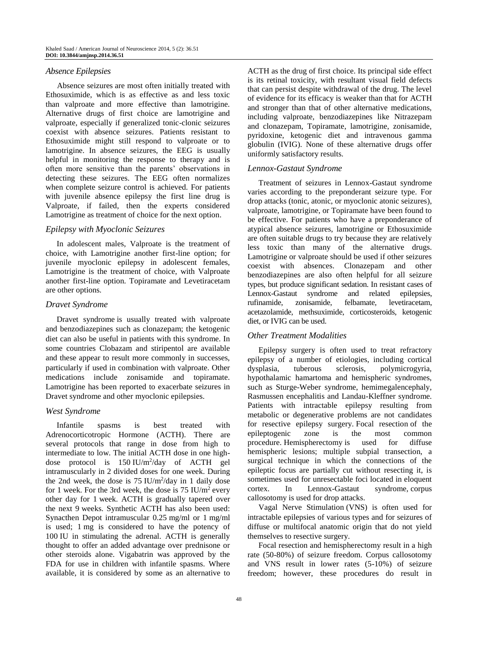### *Absence Epilepsies*

Absence seizures are most often initially treated with Ethosuximide, which is as effective as and less toxic than valproate and more effective than lamotrigine. Alternative drugs of first choice are lamotrigine and valproate, especially if generalized tonic-clonic seizures coexist with absence seizures. Patients resistant to Ethosuximide might still respond to valproate or to lamotrigine. In absence seizures, the EEG is usually helpful in monitoring the response to therapy and is often more sensitive than the parents' observations in detecting these seizures. The EEG often normalizes when complete seizure control is achieved. For patients with juvenile absence epilepsy the first line drug is Valproate, if failed, then the experts considered Lamotrigine as treatment of choice for the next option.

### *Epilepsy with Myoclonic Seizures*

In adolescent males, Valproate is the treatment of choice, with Lamotrigine another first-line option; for juvenile myoclonic epilepsy in adolescent females, Lamotrigine is the treatment of choice, with Valproate another first-line option. Topiramate and Levetiracetam are other options.

### *Dravet Syndrome*

Dravet syndrome is usually treated with valproate and benzodiazepines such as clonazepam; the ketogenic diet can also be useful in patients with this syndrome. In some countries Clobazam and stiripentol are available and these appear to result more commonly in successes, particularly if used in combination with valproate. Other medications include zonisamide and topiramate. Lamotrigine has been reported to exacerbate seizures in Dravet syndrome and other myoclonic epilepsies.

### *West Syndrome*

Infantile spasms is best treated with Adrenocorticotropic Hormone (ACTH). There are several protocols that range in dose from high to intermediate to low. The initial ACTH dose in one highdose protocol is 150 IU/m<sup>2</sup> /day of ACTH gel intramuscularly in 2 divided doses for one week. During the 2nd week, the dose is  $75 \text{ IU/m}^2/\text{day}$  in 1 daily dose for 1 week. For the 3rd week, the dose is  $75 \text{ IU/m}^2$  every other day for 1 week. ACTH is gradually tapered over the next 9 weeks. Synthetic ACTH has also been used: Synacthen Depot intramuscular 0.25 mg/ml or 1 mg/ml is used; 1 mg is considered to have the potency of 100 IU in stimulating the adrenal. ACTH is generally thought to offer an added advantage over prednisone or other steroids alone. Vigabatrin was approved by the FDA for use in children with infantile spasms. Where available, it is considered by some as an alternative to

ACTH as the drug of first choice. Its principal side effect is its retinal toxicity, with resultant visual field defects that can persist despite withdrawal of the drug. The level of evidence for its efficacy is weaker than that for ACTH and stronger than that of other alternative medications, including valproate, benzodiazepines like Nitrazepam and clonazepam, Topiramate, lamotrigine, zonisamide, pyridoxine, ketogenic diet and intravenous gamma globulin (IVIG). None of these alternative drugs offer uniformly satisfactory results.

### *Lennox-Gastaut Syndrome*

Treatment of seizures in Lennox-Gastaut syndrome varies according to the preponderant seizure type. For drop attacks (tonic, atonic, or myoclonic atonic seizures), valproate, lamotrigine, or Topiramate have been found to be effective. For patients who have a preponderance of atypical absence seizures, lamotrigine or Ethosuximide are often suitable drugs to try because they are relatively less toxic than many of the alternative drugs. Lamotrigine or valproate should be used if other seizures coexist with absences. Clonazepam and other benzodiazepines are also often helpful for all seizure types, but produce significant sedation. In resistant cases of Lennox-Gastaut syndrome and related epilepsies, rufinamide, zonisamide, felbamate, levetiracetam, acetazolamide, methsuximide, corticosteroids, ketogenic diet, or IVIG can be used.

### *Other Treatment Modalities*

Epilepsy surgery is often used to treat refractory epilepsy of a number of etiologies, including cortical dysplasia, tuberous sclerosis, polymicrogyria, hypothalamic hamartoma and hemispheric syndromes, such as Sturge-Weber syndrome, hemimegalencephaly, Rasmussen encephalitis and Landau-Kleffner syndrome. Patients with intractable epilepsy resulting from metabolic or degenerative problems are not candidates for resective epilepsy surgery. Focal resection of the epileptogenic zone is the most common procedure. Hemispherectomy is used for diffuse hemispheric lesions; multiple subpial transection, a surgical technique in which the connections of the epileptic focus are partially cut without resecting it, is sometimes used for unresectable foci located in eloquent cortex. In Lennox-Gastaut syndrome, corpus callosotomy is used for drop attacks.

Vagal Nerve Stimulation (VNS) is often used for intractable epilepsies of various types and for seizures of diffuse or multifocal anatomic origin that do not yield themselves to resective surgery.

Focal resection and hemispherectomy result in a high rate (50-80%) of seizure freedom. Corpus callosotomy and VNS result in lower rates (5-10%) of seizure freedom; however, these procedures do result in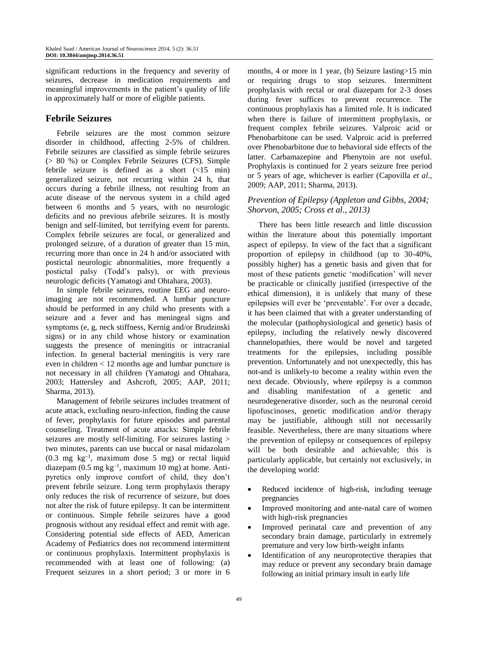significant reductions in the frequency and severity of seizures, decrease in medication requirements and meaningful improvements in the patient's quality of life in approximately half or more of eligible patients.

# **Febrile Seizures**

Febrile seizures are the most common seizure disorder in childhood, affecting 2-5% of children. Febrile seizures are classified as simple febrile seizures (> 80 %) or Complex Febrile Seizures (CFS). Simple febrile seizure is defined as a short (<15 min) generalized seizure, not recurring within 24 h, that occurs during a febrile illness, not resulting from an acute disease of the nervous system in a child aged between 6 months and 5 years, with no neurologic deficits and no previous afebrile seizures. It is mostly benign and self-limited, but terrifying event for parents. Complex febrile seizures are focal, or generalized and prolonged seizure, of a duration of greater than 15 min, recurring more than once in 24 h and/or associated with postictal neurologic abnormalities, more frequently a postictal palsy (Todd's palsy), or with previous neurologic deficits (Yamatogi and Ohtahara, 2003).

In simple febrile seizures, routine EEG and neuroimaging are not recommended. A lumbar puncture should be performed in any child who presents with a seizure and a fever and has meningeal signs and symptoms (e, g, neck stiffness, Kernig and/or Brudzinski signs) or in any child whose history or examination suggests the presence of meningitis or intracranial infection. In general bacterial meningitis is very rare even in children < 12 months age and lumbar puncture is not necessary in all children (Yamatogi and Ohtahara, 2003; Hattersley and Ashcroft, 2005; AAP, 2011; Sharma, 2013).

Management of febrile seizures includes treatment of acute attack, excluding neuro-infection, finding the cause of fever, prophylaxis for future episodes and parental counseling. Treatment of acute attacks: Simple febrile seizures are mostly self-limiting. For seizures lasting > two minutes, parents can use buccal or nasal midazolam  $(0.3 \text{ mg} \text{ kg}^{-1}$ , maximum dose 5 mg) or rectal liquid diazepam  $(0.5 \text{ mg kg}^{-1}$ , maximum 10 mg) at home. Antipyretics only improve comfort of child, they don't prevent febrile seizure. Long term prophylaxis therapy only reduces the risk of recurrence of seizure, but does not alter the risk of future epilepsy. It can be intermittent or continuous. Simple febrile seizures have a good prognosis without any residual effect and remit with age. Considering potential side effects of AED, American Academy of Pediatrics does not recommend intermittent or continuous prophylaxis. Intermittent prophylaxis is recommended with at least one of following: (a) Frequent seizures in a short period; 3 or more in 6

months, 4 or more in 1 year, (b) Seizure lasting>15 min or requiring drugs to stop seizures. Intermittent prophylaxis with rectal or oral diazepam for 2-3 doses during fever suffices to prevent recurrence. The continuous prophylaxis has a limited role. It is indicated when there is failure of intermittent prophylaxis, or frequent complex febrile seizures. Valproic acid or Phenobarbitone can be used. Valproic acid is preferred over Phenobarbitone due to behavioral side effects of the latter. Carbamazepine and Phenytoin are not useful. Prophylaxis is continued for 2 years seizure free period or 5 years of age, whichever is earlier (Capovilla *et al*., 2009; AAP, 2011; Sharma, 2013).

# *Prevention of Epilepsy (Appleton and Gibbs, 2004; Shorvon, 2005; Cross et al., 2013)*

There has been little research and little discussion within the literature about this potentially important aspect of epilepsy. In view of the fact that a significant proportion of epilepsy in childhood (up to 30-40%, possibly higher) has a genetic basis and given that for most of these patients genetic 'modification' will never be practicable or clinically justified (irrespective of the ethical dimension), it is unlikely that many of these epilepsies will ever be 'preventable'. For over a decade, it has been claimed that with a greater understanding of the molecular (pathophysiological and genetic) basis of epilepsy, including the relatively newly discovered channelopathies, there would be novel and targeted treatments for the epilepsies, including possible prevention. Unfortunately and not unexpectedly, this has not-and is unlikely-to become a reality within even the next decade. Obviously, where epilepsy is a common and disabling manifestation of a genetic and neurodegenerative disorder, such as the neuronal ceroid lipofuscinoses, genetic modification and/or therapy may be justifiable, although still not necessarily feasible. Nevertheless, there are many situations where the prevention of epilepsy or consequences of epilepsy will be both desirable and achievable; this is particularly applicable, but certainly not exclusively, in the developing world:

- Reduced incidence of high-risk, including teenage pregnancies
- Improved monitoring and ante-natal care of women with high-risk pregnancies
- Improved perinatal care and prevention of any secondary brain damage, particularly in extremely premature and very low birth-weight infants
- Identification of any neuroprotective therapies that may reduce or prevent any secondary brain damage following an initial primary insult in early life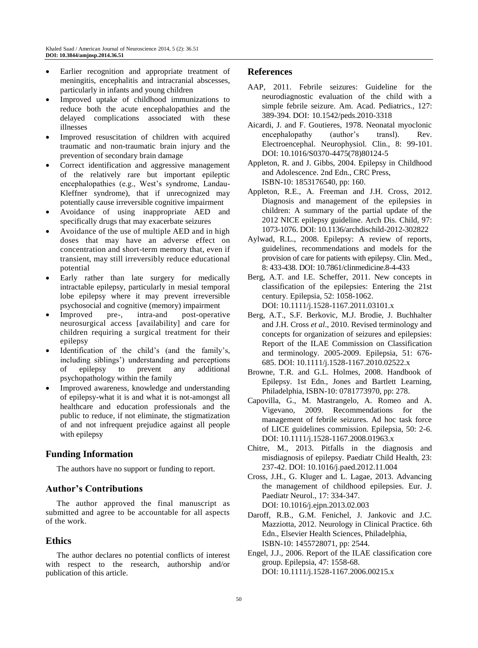- Earlier recognition and appropriate treatment of meningitis, encephalitis and intracranial abscesses, particularly in infants and young children
- Improved uptake of childhood immunizations to reduce both the acute encephalopathies and the delayed complications associated with these illnesses
- Improved resuscitation of children with acquired traumatic and non-traumatic brain injury and the prevention of secondary brain damage
- Correct identification and aggressive management of the relatively rare but important epileptic encephalopathies (e.g., West's syndrome, Landau-Kleffner syndrome), that if unrecognized may potentially cause irreversible cognitive impairment
- Avoidance of using inappropriate AED and specifically drugs that may exacerbate seizures
- Avoidance of the use of multiple AED and in high doses that may have an adverse effect on concentration and short-term memory that, even if transient, may still irreversibly reduce educational potential
- Early rather than late surgery for medically intractable epilepsy, particularly in mesial temporal lobe epilepsy where it may prevent irreversible psychosocial and cognitive (memory) impairment
- Improved pre-, intra-and post-operative neurosurgical access [availability] and care for children requiring a surgical treatment for their epilepsy
- Identification of the child's (and the family's, including siblings') understanding and perceptions of epilepsy to prevent any additional psychopathology within the family
- Improved awareness, knowledge and understanding of epilepsy-what it is and what it is not-amongst all healthcare and education professionals and the public to reduce, if not eliminate, the stigmatization of and not infrequent prejudice against all people with epilepsy

# **Funding Information**

The authors have no support or funding to report.

# **Author's Contributions**

The author approved the final manuscript as submitted and agree to be accountable for all aspects of the work.

### **Ethics**

The author declares no potential conflicts of interest with respect to the research, authorship and/or publication of this article.

### **References**

- AAP, 2011. Febrile seizures: Guideline for the neurodiagnostic evaluation of the child with a simple febrile seizure. Am. Acad. Pediatrics., 127: 389-394. DOI: 10.1542/peds.2010-3318
- Aicardi, J. and F. Goutieres, 1978. Neonatal myoclonic encephalopathy (author's transl). Rev. Electroencephal. Neurophysiol. Clin., 8: 99-101. DOI: 10.1016/S0370-4475(78)80124-5
- Appleton, R. and J. Gibbs, 2004. Epilepsy in Childhood and Adolescence. 2nd Edn., CRC Press, ISBN-10: 1853176540, pp: 160.
- Appleton, R.E., A. Freeman and J.H. Cross, 2012. Diagnosis and management of the epilepsies in children: A summary of the partial update of the 2012 NICE epilepsy guideline. Arch Dis. Child, 97: 1073-1076. DOI: 10.1136/archdischild-2012-302822
- Aylwad, R.L., 2008. Epilepsy: A review of reports, guidelines, recommendations and models for the provision of care for patients with epilepsy. Clin. Med., 8: 433-438. DOI: 10.7861/clinmedicine.8-4-433
- Berg, A.T. and I.E. Scheffer, 2011. New concepts in classification of the epilepsies: Entering the 21st century. Epilepsia, 52: 1058-1062.
	- DOI: 10.1111/j.1528-1167.2011.03101.x
- Berg, A.T., S.F. Berkovic, M.J. Brodie, J. Buchhalter and J.H. Cross *et al*., 2010. Revised terminology and concepts for organization of seizures and epilepsies: Report of the ILAE Commission on Classification and terminology. 2005-2009. Epilepsia, 51: 676- 685. DOI: 10.1111/j.1528-1167.2010.02522.x
- Browne, T.R. and G.L. Holmes, 2008. Handbook of Epilepsy. 1st Edn., Jones and Bartlett Learning, Philadelphia, ISBN-10: 0781773970, pp: 278.
- Capovilla, G., M. Mastrangelo, A. Romeo and A. Vigevano, 2009. Recommendations for the management of febrile seizures. Ad hoc task force of LICE guidelines commission. Epilepsia, 50: 2-6. DOI: 10.1111/j.1528-1167.2008.01963.x
- Chitre, M., 2013. Pitfalls in the diagnosis and misdiagnosis of epilepsy. Paediatr Child Health, 23: 237-42. DOI: 10.1016/j.paed.2012.11.004
- Cross, J.H., G. Kluger and L. Lagae, 2013. Advancing the management of childhood epilepsies. Eur. J. Paediatr Neurol., 17: 334-347. DOI: 10.1016/j.ejpn.2013.02.003
- Daroff, R.B., G.M. Fenichel, J. Jankovic and J.C. Mazziotta, 2012. Neurology in Clinical Practice. 6th Edn., Elsevier Health Sciences, Philadelphia, ISBN-10: 1455728071, pp: 2544.
- Engel, J.J., 2006. Report of the ILAE classification core group. Epilepsia, 47: 1558-68. DOI: 10.1111/j.1528-1167.2006.00215.x